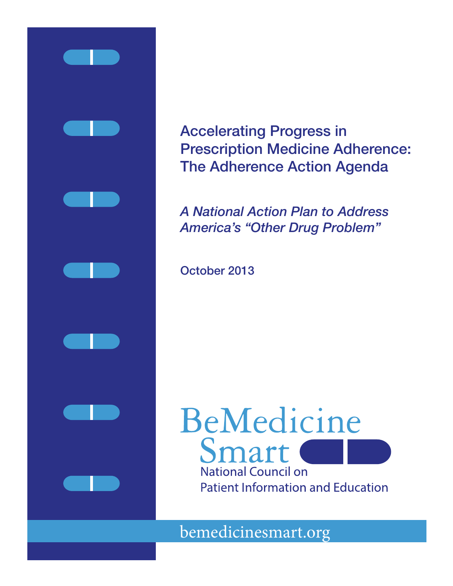

Accelerating Progress in Prescription Medicine Adherence: The Adherence Action Agenda

*A National Action Plan to Address America's "Other Drug Problem"*

October 2013

# BeMedicine Smart **National Council on Patient Information and Education**

bemedicinesmart.org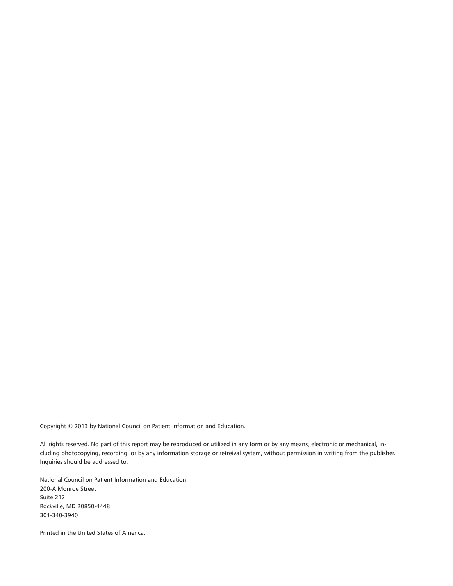Copyright © 2013 by National Council on Patient Information and Education.

All rights reserved. No part of this report may be reproduced or utilized in any form or by any means, electronic or mechanical, including photocopying, recording, or by any information storage or retreival system, without permission in writing from the publisher. Inquiries should be addressed to:

National Council on Patient Information and Education 200-A Monroe Street Suite 212 Rockville, MD 20850-4448 301-340-3940

Printed in the United States of America.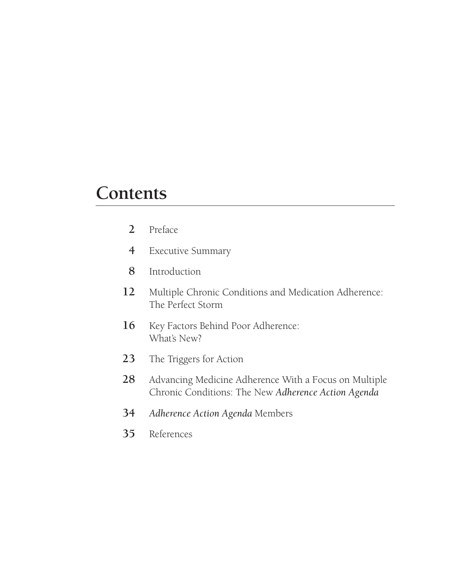## **Contents**

- Preface
- Executive Summary
- Introduction
- Multiple Chronic Conditions and Medication Adherence: The Perfect Storm
- 16 Key Factors Behind Poor Adherence: What's New?
- The Triggers for Action
- Advancing Medicine Adherence With a Focus on Multiple Chronic Conditions: The New *Adherence Action Agenda*
- *Adherence Action Agenda* Members
- References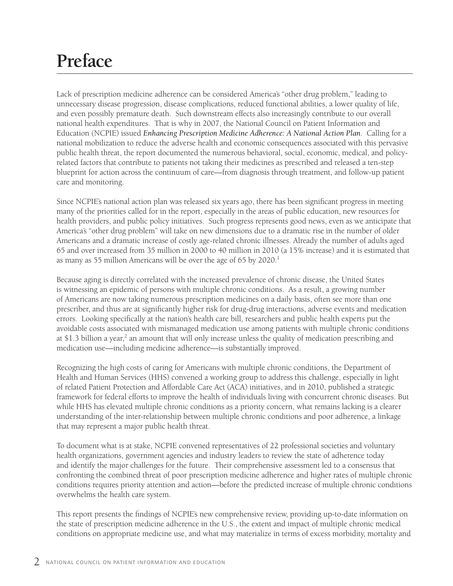# **Preface**

Lack of prescription medicine adherence can be considered America's "other drug problem," leading to unnecessary disease progression, disease complications, reduced functional abilities, a lower quality of life, and even possibly premature death. Such downstream effects also increasingly contribute to our overall national health expenditures. That is why in 2007, the National Council on Patient Information and Education (NCPIE) issued *Enhancing Prescription Medicine Adherence: A National Action Plan*. Calling for a national mobilization to reduce the adverse health and economic consequences associated with this pervasive public health threat, the report documented the numerous behavioral, social, economic, medical, and policyrelated factors that contribute to patients not taking their medicines as prescribed and released a ten-step blueprint for action across the continuum of care—from diagnosis through treatment, and follow-up patient care and monitoring.

Since NCPIE's national action plan was released six years ago, there has been significant progress in meeting many of the priorities called for in the report, especially in the areas of public education, new resources for health providers, and public policy initiatives. Such progress represents good news, even as we anticipate that America's "other drug problem" will take on new dimensions due to a dramatic rise in the number of older Americans and a dramatic increase of costly age-related chronic illnesses. Already the number of adults aged 65 and over increased from 35 million in 2000 to 40 million in 2010 (a 15% increase) and it is estimated that as many as 55 million Americans will be over the age of 65 by 2020.<sup>1</sup>

Because aging is directly correlated with the increased prevalence of chronic disease, the United States is witnessing an epidemic of persons with multiple chronic conditions. As a result, a growing number of Americans are now taking numerous prescription medicines on a daily basis, often see more than one prescriber, and thus are at significantly higher risk for drug-drug interactions, adverse events and medication errors. Looking specifically at the nation's health care bill, researchers and public health experts put the avoidable costs associated with mismanaged medication use among patients with multiple chronic conditions at \$1.3 billion a year,<sup>2</sup> an amount that will only increase unless the quality of medication prescribing and medication use—including medicine adherence—is substantially improved.

Recognizing the high costs of caring for Americans with multiple chronic conditions, the Department of Health and Human Services (HHS) convened a working group to address this challenge, especially in light of related Patient Protection and Affordable Care Act (ACA) initiatives, and in 2010, published a strategic framework for federal efforts to improve the health of individuals living with concurrent chronic diseases. But while HHS has elevated multiple chronic conditions as a priority concern, what remains lacking is a clearer understanding of the inter-relationship between multiple chronic conditions and poor adherence, a linkage that may represent a major public health threat.

To document what is at stake, NCPIE convened representatives of 22 professional societies and voluntary health organizations, government agencies and industry leaders to review the state of adherence today and identify the major challenges for the future. Their comprehensive assessment led to a consensus that confronting the combined threat of poor prescription medicine adherence and higher rates of multiple chronic conditions requires priority attention and action—before the predicted increase of multiple chronic conditions overwhelms the health care system.

This report presents the findings of NCPIE's new comprehensive review, providing up-to-date information on the state of prescription medicine adherence in the U.S., the extent and impact of multiple chronic medical conditions on appropriate medicine use, and what may materialize in terms of excess morbidity, mortality and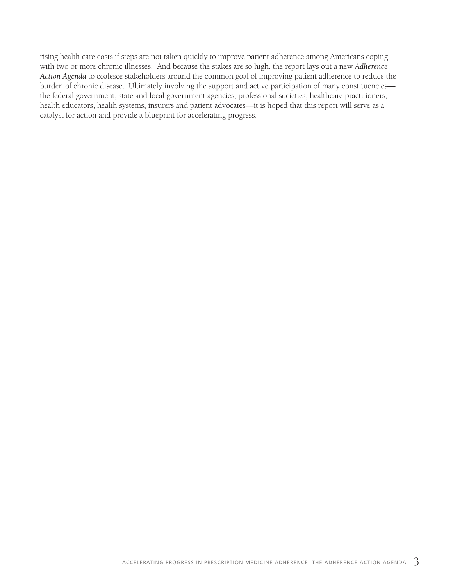rising health care costs if steps are not taken quickly to improve patient adherence among Americans coping with two or more chronic illnesses. And because the stakes are so high, the report lays out a new *Adherence Action Agenda* to coalesce stakeholders around the common goal of improving patient adherence to reduce the burden of chronic disease. Ultimately involving the support and active participation of many constituencies the federal government, state and local government agencies, professional societies, healthcare practitioners, health educators, health systems, insurers and patient advocates—it is hoped that this report will serve as a catalyst for action and provide a blueprint for accelerating progress.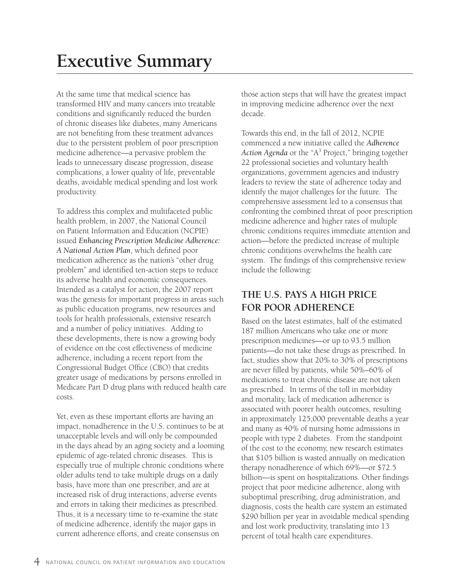## **Executive Summary**

At the same time that medical science has transformed HIV and many cancers into treatable conditions and significantly reduced the burden of chronic diseases like diabetes, many Americans are not benefiting from these treatment advances due to the persistent problem of poor prescription medicine adherence—a pervasive problem the leads to unnecessary disease progression, disease complications, a lower quality of life, preventable deaths, avoidable medical spending and lost work productivity.

To address this complex and multifaceted public health problem, in 2007, the National Council on Patient Information and Education (NCPIE) issued *Enhancing Prescription Medicine Adherence: A National Action Plan*, which defined poor medication adherence as the nation's "other drug problem" and identified ten-action steps to reduce its adverse health and economic consequences. Intended as a catalyst for action, the 2007 report was the genesis for important progress in areas such as public education programs, new resources and tools for health professionals, extensive research and a number of policy initiatives. Adding to these developments, there is now a growing body of evidence on the cost effectiveness of medicine adherence, including a recent report from the Congressional Budget Office (CBO) that credits greater usage of medications by persons enrolled in Medicare Part D drug plans with reduced health care costs.

Yet, even as these important efforts are having an impact, nonadherence in the U.S. continues to be at unacceptable levels and will only be compounded in the days ahead by an aging society and a looming epidemic of age-related chronic diseases. This is especially true of multiple chronic conditions where older adults tend to take multiple drugs on a daily basis, have more than one prescriber, and are at increased risk of drug interactions, adverse events and errors in taking their medicines as prescribed. Thus, it is a necessary time to re-examine the state of medicine adherence, identify the major gaps in current adherence efforts, and create consensus on

those action steps that will have the greatest impact in improving medicine adherence over the next decade.

Towards this end, in the fall of 2012, NCPIE commenced a new initiative called the *Adherence*  Action Agenda or the "A<sup>3</sup> Project," bringing together 22 professional societies and voluntary health organizations, government agencies and industry leaders to review the state of adherence today and identify the major challenges for the future. The comprehensive assessment led to a consensus that confronting the combined threat of poor prescription medicine adherence and higher rates of multiple chronic conditions requires immediate attention and action—before the predicted increase of multiple chronic conditions overwhelms the health care system. The findings of this comprehensive review include the following:

#### **THE U.S. PAYS A HIGH PRICE FOR POOR ADHERENCE**

Based on the latest estimates, half of the estimated 187 million Americans who take one or more prescription medicines—or up to 93.5 million patients—do not take these drugs as prescribed. In fact, studies show that 20% to 30% of prescriptions are never filled by patients, while 50%–60% of medications to treat chronic disease are not taken as prescribed. In terms of the toll in morbidity and mortality, lack of medication adherence is associated with poorer health outcomes, resulting in approximately 125,000 preventable deaths a year and many as 40% of nursing home admissions in people with type 2 diabetes. From the standpoint of the cost to the economy, new research estimates that \$105 billion is wasted annually on medication therapy nonadherence of which 69%—or \$72.5 billion—is spent on hospitalizations. Other findings project that poor medicine adherence, along with suboptimal prescribing, drug administration, and diagnosis, costs the health care system an estimated \$290 billion per year in avoidable medical spending and lost work productivity, translating into 13 percent of total health care expenditures.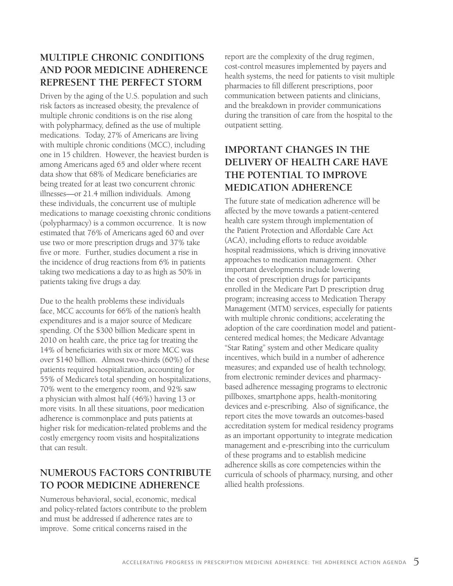### **MULTIPLE CHRONIC CONDITIONS AND POOR MEDICINE ADHERENCE REPRESENT THE PERFECT STORM**

Driven by the aging of the U.S. population and such risk factors as increased obesity, the prevalence of multiple chronic conditions is on the rise along with polypharmacy, defined as the use of multiple medications. Today, 27% of Americans are living with multiple chronic conditions (MCC), including one in 15 children. However, the heaviest burden is among Americans aged 65 and older where recent data show that 68% of Medicare beneficiaries are being treated for at least two concurrent chronic illnesses—or 21.4 million individuals. Among these individuals, the concurrent use of multiple medications to manage coexisting chronic conditions (polypharmacy) is a common occurrence. It is now estimated that 76% of Americans aged 60 and over use two or more prescription drugs and 37% take five or more. Further, studies document a rise in the incidence of drug reactions from 6% in patients taking two medications a day to as high as 50% in patients taking five drugs a day.

Due to the health problems these individuals face, MCC accounts for 66% of the nation's health expenditures and is a major source of Medicare spending. Of the \$300 billion Medicare spent in 2010 on health care, the price tag for treating the 14% of beneficiaries with six or more MCC was over \$140 billion. Almost two-thirds (60%) of these patients required hospitalization, accounting for 55% of Medicare's total spending on hospitalizations, 70% went to the emergency room, and 92% saw a physician with almost half (46%) having 13 or more visits. In all these situations, poor medication adherence is commonplace and puts patients at higher risk for medication-related problems and the costly emergency room visits and hospitalizations that can result.

### **NUMEROUS FACTORS CONTRIBUTE TO POOR MEDICINE ADHERENCE**

Numerous behavioral, social, economic, medical and policy-related factors contribute to the problem and must be addressed if adherence rates are to improve. Some critical concerns raised in the

report are the complexity of the drug regimen, cost-control measures implemented by payers and health systems, the need for patients to visit multiple pharmacies to fill different prescriptions, poor communication between patients and clinicians, and the breakdown in provider communications during the transition of care from the hospital to the outpatient setting.

### **IMPORTANT CHANGES IN THE DELIVERY OF HEALTH CARE HAVE THE POTENTIAL TO IMPROVE MEDICATION ADHERENCE**

The future state of medication adherence will be affected by the move towards a patient-centered health care system through implementation of the Patient Protection and Affordable Care Act (ACA), including efforts to reduce avoidable hospital readmissions, which is driving innovative approaches to medication management. Other important developments include lowering the cost of prescription drugs for participants enrolled in the Medicare Part D prescription drug program; increasing access to Medication Therapy Management (MTM) services, especially for patients with multiple chronic conditions; accelerating the adoption of the care coordination model and patientcentered medical homes; the Medicare Advantage "Star Rating" system and other Medicare quality incentives, which build in a number of adherence measures; and expanded use of health technology, from electronic reminder devices and pharmacybased adherence messaging programs to electronic pillboxes, smartphone apps, health-monitoring devices and e-prescribing. Also of significance, the report cites the move towards an outcomes-based accreditation system for medical residency programs as an important opportunity to integrate medication management and e-prescribing into the curriculum of these programs and to establish medicine adherence skills as core competencies within the curricula of schools of pharmacy, nursing, and other allied health professions.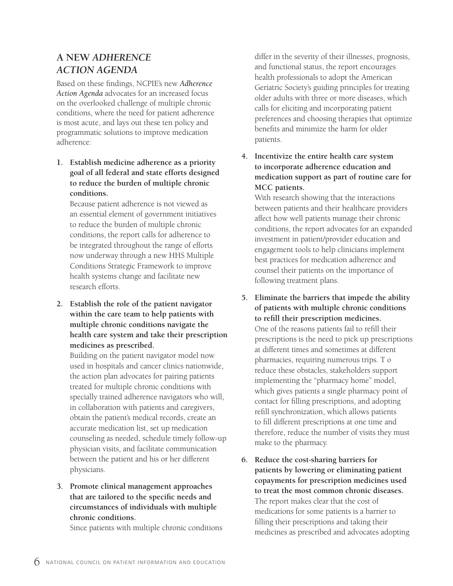### **A NEW** *ADHERENCE ACTION AGENDA*

Based on these findings, NCPIE's new *Adherence Action Agenda* advocates for an increased focus on the overlooked challenge of multiple chronic conditions, where the need for patient adherence is most acute, and lays out these ten policy and programmatic solutions to improve medication adherence:

**1. Establish medicine adherence as a priority goal of all federal and state efforts designed to reduce the burden of multiple chronic conditions.**

Because patient adherence is not viewed as an essential element of government initiatives to reduce the burden of multiple chronic conditions, the report calls for adherence to be integrated throughout the range of efforts now underway through a new HHS Multiple Conditions Strategic Framework to improve health systems change and facilitate new research efforts.

**2. Establish the role of the patient navigator within the care team to help patients with multiple chronic conditions navigate the health care system and take their prescription medicines as prescribed.**

Building on the patient navigator model now used in hospitals and cancer clinics nationwide, the action plan advocates for pairing patients treated for multiple chronic conditions with specially trained adherence navigators who will, in collaboration with patients and caregivers, obtain the patient's medical records, create an accurate medication list, set up medication counseling as needed, schedule timely follow-up physician visits, and facilitate communication between the patient and his or her different physicians.

**3. Promote clinical management approaches that are tailored to the specific needs and circumstances of individuals with multiple chronic conditions.**

Since patients with multiple chronic conditions

differ in the severity of their illnesses, prognosis, and functional status, the report encourages health professionals to adopt the American Geriatric Society's guiding principles for treating older adults with three or more diseases, which calls for eliciting and incorporating patient preferences and choosing therapies that optimize benefits and minimize the harm for older patients.

**4. Incentivize the entire health care system to incorporate adherence education and medication support as part of routine care for MCC patients.**

With research showing that the interactions between patients and their healthcare providers affect how well patients manage their chronic conditions, the report advocates for an expanded investment in patient/provider education and engagement tools to help clinicians implement best practices for medication adherence and counsel their patients on the importance of following treatment plans.

- **5. Eliminate the barriers that impede the ability of patients with multiple chronic conditions to refill their prescription medicines.** One of the reasons patients fail to refill their prescriptions is the need to pick up prescriptions at different times and sometimes at different pharmacies, requiring numerous trips. T o reduce these obstacles, stakeholders support implementing the "pharmacy home" model, which gives patients a single pharmacy point of contact for filling prescriptions, and adopting refill synchronization, which allows patients to fill different prescriptions at one time and therefore, reduce the number of visits they must make to the pharmacy.
- **6. Reduce the cost-sharing barriers for patients by lowering or eliminating patient copayments for prescription medicines used to treat the most common chronic diseases.** The report makes clear that the cost of medications for some patients is a barrier to filling their prescriptions and taking their medicines as prescribed and advocates adopting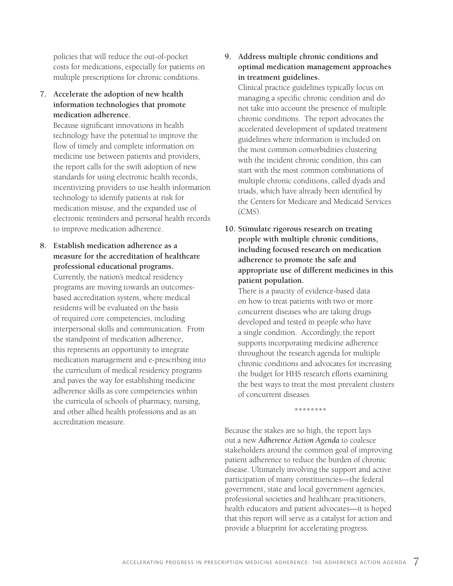policies that will reduce the out-of-pocket costs for medications, especially for patients on multiple prescriptions for chronic conditions.

**7. Accelerate the adoption of new health information technologies that promote medication adherence.**

Because significant innovations in health technology have the potential to improve the flow of timely and complete information on medicine use between patients and providers, the report calls for the swift adoption of new standards for using electronic health records, incentivizing providers to use health information technology to identify patients at risk for medication misuse, and the expanded use of electronic reminders and personal health records to improve medication adherence.

**8. Establish medication adherence as a measure for the accreditation of healthcare professional educational programs.**

Currently, the nation's medical residency programs are moving towards an outcomesbased accreditation system, where medical residents will be evaluated on the basis of required core competencies, including interpersonal skills and communication. From the standpoint of medication adherence, this represents an opportunity to integrate medication management and e-prescribing into the curriculum of medical residency programs and paves the way for establishing medicine adherence skills as core competencies within the curricula of schools of pharmacy, nursing, and other allied health professions and as an accreditation measure.

#### **9. Address multiple chronic conditions and optimal medication management approaches in treatment guidelines.**

Clinical practice guidelines typically focus on managing a specific chronic condition and do not take into account the presence of multiple chronic conditions. The report advocates the accelerated development of updated treatment guidelines where information is included on the most common comorbidities clustering with the incident chronic condition, this can start with the most common combinations of multiple chronic conditions, called dyads and triads, which have already been identified by the Centers for Medicare and Medicaid Services  $(CMS)$ .

**10. Stimulate rigorous research on treating people with multiple chronic conditions, including focused research on medication adherence to promote the safe and appropriate use of different medicines in this patient population.** 

There is a paucity of evidence-based data on how to treat patients with two or more concurrent diseases who are taking drugs developed and tested in people who have a single condition. Accordingly, the report supports incorporating medicine adherence throughout the research agenda for multiple chronic conditions and advocates for increasing the budget for HHS research efforts examining the best ways to treat the most prevalent clusters of concurrent diseases.

\*\*\*\*\*\*\*\*

Because the stakes are so high, the report lays out a new *Adherence Action Agenda* to coalesce stakeholders around the common goal of improving patient adherence to reduce the burden of chronic disease. Ultimately involving the support and active participation of many constituencies—the federal government, state and local government agencies, professional societies and healthcare practitioners, health educators and patient advocates—it is hoped that this report will serve as a catalyst for action and provide a blueprint for accelerating progress.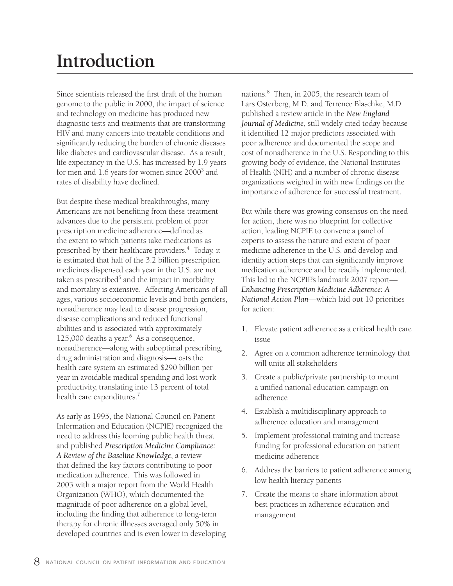# **Introduction**

Since scientists released the first draft of the human genome to the public in 2000, the impact of science and technology on medicine has produced new diagnostic tests and treatments that are transforming HIV and many cancers into treatable conditions and significantly reducing the burden of chronic diseases like diabetes and cardiovascular disease. As a result, life expectancy in the U.S. has increased by 1.9 years for men and 1.6 years for women since 2000<sup>3</sup> and rates of disability have declined.

But despite these medical breakthroughs, many Americans are not benefiting from these treatment advances due to the persistent problem of poor prescription medicine adherence—defined as the extent to which patients take medications as prescribed by their healthcare providers.<sup>4</sup> Today, it is estimated that half of the 3.2 billion prescription medicines dispensed each year in the U.S. are not taken as prescribed<sup>5</sup> and the impact in morbidity and mortality is extensive. Affecting Americans of all ages, various socioeconomic levels and both genders, nonadherence may lead to disease progression, disease complications and reduced functional abilities and is associated with approximately  $125,000$  deaths a year.<sup>6</sup> As a consequence, nonadherence—along with suboptimal prescribing, drug administration and diagnosis—costs the health care system an estimated \$290 billion per year in avoidable medical spending and lost work productivity, translating into 13 percent of total health care expenditures.<sup>7</sup>

As early as 1995, the National Council on Patient Information and Education (NCPIE) recognized the need to address this looming public health threat and published *Prescription Medicine Compliance: A Review of the Baseline Knowledge*, a review that defined the key factors contributing to poor medication adherence. This was followed in 2003 with a major report from the World Health Organization (WHO), which documented the magnitude of poor adherence on a global level, including the finding that adherence to long-term therapy for chronic illnesses averaged only 50% in developed countries and is even lower in developing

nations.8 Then, in 2005, the research team of Lars Osterberg, M.D. and Terrence Blaschke, M.D. published a review article in the *New England Journal of Medicine*, still widely cited today because it identified 12 major predictors associated with poor adherence and documented the scope and cost of nonadherence in the U.S. Responding to this growing body of evidence, the National Institutes of Health (NIH) and a number of chronic disease organizations weighed in with new findings on the importance of adherence for successful treatment.

But while there was growing consensus on the need for action, there was no blueprint for collective action, leading NCPIE to convene a panel of experts to assess the nature and extent of poor medicine adherence in the U.S. and develop and identify action steps that can significantly improve medication adherence and be readily implemented. This led to the NCPIE's landmark 2007 report— *Enhancing Prescription Medicine Adherence: A National Action Plan*—which laid out 10 priorities for action:

- 1. Elevate patient adherence as a critical health care issue
- 2. Agree on a common adherence terminology that will unite all stakeholders
- 3. Create a public/private partnership to mount a unified national education campaign on adherence
- 4. Establish a multidisciplinary approach to adherence education and management
- 5. Implement professional training and increase funding for professional education on patient medicine adherence
- 6. Address the barriers to patient adherence among low health literacy patients
- 7. Create the means to share information about best practices in adherence education and management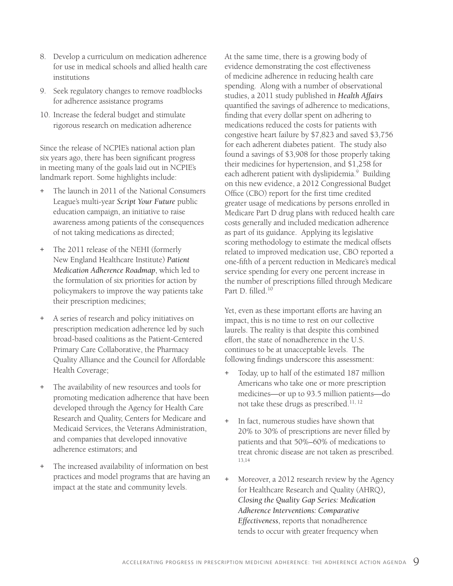- 8. Develop a curriculum on medication adherence for use in medical schools and allied health care institutions
- 9. Seek regulatory changes to remove roadblocks for adherence assistance programs
- 10. Increase the federal budget and stimulate rigorous research on medication adherence

Since the release of NCPIE's national action plan six years ago, there has been significant progress in meeting many of the goals laid out in NCPIE's landmark report. Some highlights include:

- The launch in 2011 of the National Consumers League's multi-year *Script Your Future* public education campaign, an initiative to raise awareness among patients of the consequences of not taking medications as directed;
- The 2011 release of the NEHI (formerly New England Healthcare Institute) *Patient Medication Adherence Roadmap*, which led to the formulation of six priorities for action by policymakers to improve the way patients take their prescription medicines;
- A series of research and policy initiatives on prescription medication adherence led by such broad-based coalitions as the Patient-Centered Primary Care Collaborative, the Pharmacy Quality Alliance and the Council for Affordable Health Coverage;
- The availability of new resources and tools for promoting medication adherence that have been developed through the Agency for Health Care Research and Quality, Centers for Medicare and Medicaid Services, the Veterans Administration, and companies that developed innovative adherence estimators; and
- + The increased availability of information on best practices and model programs that are having an impact at the state and community levels.

At the same time, there is a growing body of evidence demonstrating the cost effectiveness of medicine adherence in reducing health care spending. Along with a number of observational studies, a 2011 study published in *Health Affairs* quantified the savings of adherence to medications, finding that every dollar spent on adhering to medications reduced the costs for patients with congestive heart failure by \$7,823 and saved \$3,756 for each adherent diabetes patient. The study also found a savings of \$3,908 for those properly taking their medicines for hypertension, and \$1,258 for each adherent patient with dyslipidemia.<sup>9</sup> Building on this new evidence, a 2012 Congressional Budget Office (CBO) report for the first time credited greater usage of medications by persons enrolled in Medicare Part D drug plans with reduced health care costs generally and included medication adherence as part of its guidance. Applying its legislative scoring methodology to estimate the medical offsets related to improved medication use, CBO reported a one-fifth of a percent reduction in Medicare's medical service spending for every one percent increase in the number of prescriptions filled through Medicare Part D. filled.10

Yet, even as these important efforts are having an impact, this is no time to rest on our collective laurels. The reality is that despite this combined effort, the state of nonadherence in the U.S. continues to be at unacceptable levels. The following findings underscore this assessment:

- + Today, up to half of the estimated 187 million Americans who take one or more prescription medicines—or up to 93.5 million patients—do not take these drugs as prescribed.<sup>11, 12</sup>
- + In fact, numerous studies have shown that 20% to 30% of prescriptions are never filled by patients and that 50%–60% of medications to treat chronic disease are not taken as prescribed. 13,14
- + Moreover, a 2012 research review by the Agency for Healthcare Research and Quality (AHRQ*), Closing the Quality Gap Series: Medication Adherence Interventions: Comparative Effectiveness*, reports that nonadherence tends to occur with greater frequency when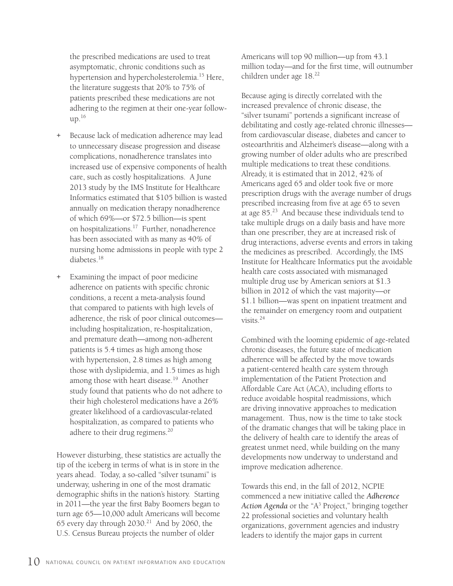the prescribed medications are used to treat asymptomatic, chronic conditions such as hypertension and hypercholesterolemia.<sup>15</sup> Here, the literature suggests that 20% to 75% of patients prescribed these medications are not adhering to the regimen at their one-year follow $up.<sup>16</sup>$ 

- + Because lack of medication adherence may lead to unnecessary disease progression and disease complications, nonadherence translates into increased use of expensive components of health care, such as costly hospitalizations. A June 2013 study by the IMS Institute for Healthcare Informatics estimated that \$105 billion is wasted annually on medication therapy nonadherence of which 69%—or \$72.5 billion—is spent on hospitalizations.17 Further, nonadherence has been associated with as many as 40% of nursing home admissions in people with type 2 diabetes.<sup>18</sup>
- + Examining the impact of poor medicine adherence on patients with specific chronic conditions, a recent a meta-analysis found that compared to patients with high levels of adherence, the risk of poor clinical outcomes including hospitalization, re-hospitalization, and premature death—among non-adherent patients is 5.4 times as high among those with hypertension, 2.8 times as high among those with dyslipidemia, and 1.5 times as high among those with heart disease.<sup>19</sup> Another study found that patients who do not adhere to their high cholesterol medications have a 26% greater likelihood of a cardiovascular-related hospitalization, as compared to patients who adhere to their drug regimens.<sup>20</sup>

However disturbing, these statistics are actually the tip of the iceberg in terms of what is in store in the years ahead. Today, a so-called "silver tsunami" is underway, ushering in one of the most dramatic demographic shifts in the nation's history. Starting in 2011—the year the first Baby Boomers began to turn age 65—10,000 adult Americans will become 65 every day through  $2030.^{21}$  And by 2060, the U.S. Census Bureau projects the number of older

Americans will top 90 million—up from 43.1 million today—and for the first time, will outnumber children under age 18.<sup>22</sup>

Because aging is directly correlated with the increased prevalence of chronic disease, the "silver tsunami" portends a significant increase of debilitating and costly age-related chronic illnesses from cardiovascular disease, diabetes and cancer to osteoarthritis and Alzheimer's disease—along with a growing number of older adults who are prescribed multiple medications to treat these conditions. Already, it is estimated that in 2012, 42% of Americans aged 65 and older took five or more prescription drugs with the average number of drugs prescribed increasing from five at age 65 to seven at age  $85.^{23}$  And because these individuals tend to take multiple drugs on a daily basis and have more than one prescriber, they are at increased risk of drug interactions, adverse events and errors in taking the medicines as prescribed. Accordingly, the IMS Institute for Healthcare Informatics put the avoidable health care costs associated with mismanaged multiple drug use by American seniors at \$1.3 billion in 2012 of which the vast majority—or \$1.1 billion—was spent on inpatient treatment and the remainder on emergency room and outpatient visits. $24$ 

Combined with the looming epidemic of age-related chronic diseases, the future state of medication adherence will be affected by the move towards a patient-centered health care system through implementation of the Patient Protection and Affordable Care Act (ACA), including efforts to reduce avoidable hospital readmissions, which are driving innovative approaches to medication management. Thus, now is the time to take stock of the dramatic changes that will be taking place in the delivery of health care to identify the areas of greatest unmet need, while building on the many developments now underway to understand and improve medication adherence.

Towards this end, in the fall of 2012, NCPIE commenced a new initiative called the *Adherence*  Action Agenda or the "A<sup>3</sup> Project," bringing together 22 professional societies and voluntary health organizations, government agencies and industry leaders to identify the major gaps in current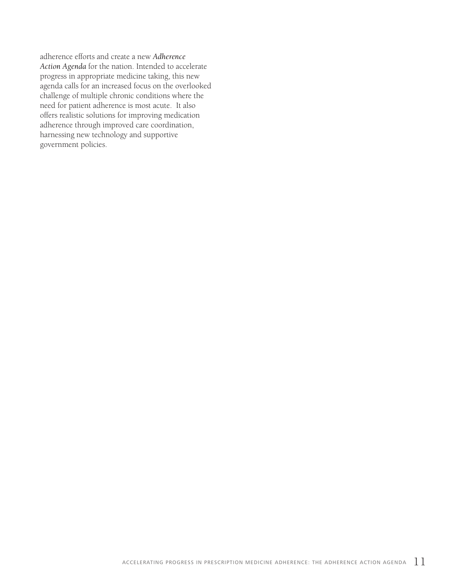adherence efforts and create a new *Adherence Action Agenda* for the nation. Intended to accelerate progress in appropriate medicine taking, this new agenda calls for an increased focus on the overlooked challenge of multiple chronic conditions where the need for patient adherence is most acute. It also offers realistic solutions for improving medication adherence through improved care coordination, harnessing new technology and supportive government policies.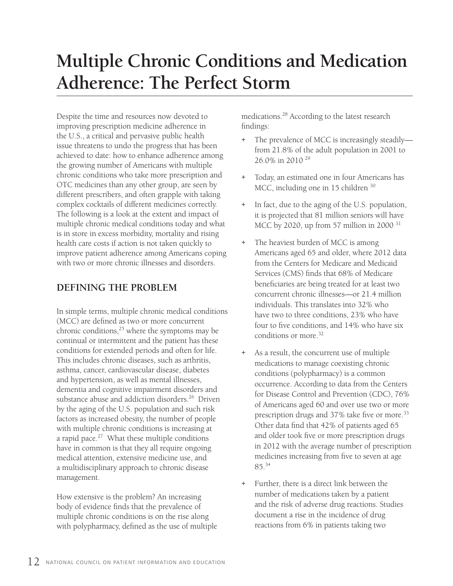# **Multiple Chronic Conditions and Medication Adherence: The Perfect Storm**

Despite the time and resources now devoted to improving prescription medicine adherence in the U.S., a critical and pervasive public health issue threatens to undo the progress that has been achieved to date: how to enhance adherence among the growing number of Americans with multiple chronic conditions who take more prescription and OTC medicines than any other group, are seen by different prescribers, and often grapple with taking complex cocktails of different medicines correctly. The following is a look at the extent and impact of multiple chronic medical conditions today and what is in store in excess morbidity, mortality and rising health care costs if action is not taken quickly to improve patient adherence among Americans coping with two or more chronic illnesses and disorders.

#### **DEFINING THE PROBLEM**

In simple terms, multiple chronic medical conditions (MCC) are defined as two or more concurrent chronic conditions,<sup>25</sup> where the symptoms may be continual or intermittent and the patient has these conditions for extended periods and often for life. This includes chronic diseases, such as arthritis, asthma, cancer, cardiovascular disease, diabetes and hypertension, as well as mental illnesses, dementia and cognitive impairment disorders and substance abuse and addiction disorders.<sup>26</sup> Driven by the aging of the U.S. population and such risk factors as increased obesity, the number of people with multiple chronic conditions is increasing at a rapid pace. $27$  What these multiple conditions have in common is that they all require ongoing medical attention, extensive medicine use, and a multidisciplinary approach to chronic disease management.

How extensive is the problem? An increasing body of evidence finds that the prevalence of multiple chronic conditions is on the rise along with polypharmacy, defined as the use of multiple medications.28 According to the latest research findings:

- + The prevalence of MCC is increasingly steadily from 21.8% of the adult population in 2001 to 26.0% in 2010 29
- + Today, an estimated one in four Americans has MCC, including one in 15 children 30
- + In fact, due to the aging of the U.S. population, it is projected that 81 million seniors will have MCC by 2020, up from 57 million in 2000  $31$
- + The heaviest burden of MCC is among Americans aged 65 and older, where 2012 data from the Centers for Medicare and Medicaid Services (CMS) finds that 68% of Medicare beneficiaries are being treated for at least two concurrent chronic illnesses—or 21.4 million individuals. This translates into 32% who have two to three conditions, 23% who have four to five conditions, and 14% who have six conditions or more.<sup>32</sup>
- + As a result, the concurrent use of multiple medications to manage coexisting chronic conditions (polypharmacy) is a common occurrence. According to data from the Centers for Disease Control and Prevention (CDC), 76% of Americans aged 60 and over use two or more prescription drugs and 37% take five or more.<sup>33</sup> Other data find that 42% of patients aged 65 and older took five or more prescription drugs in 2012 with the average number of prescription medicines increasing from five to seven at age 85.34
- + Further, there is a direct link between the number of medications taken by a patient and the risk of adverse drug reactions. Studies document a rise in the incidence of drug reactions from 6% in patients taking two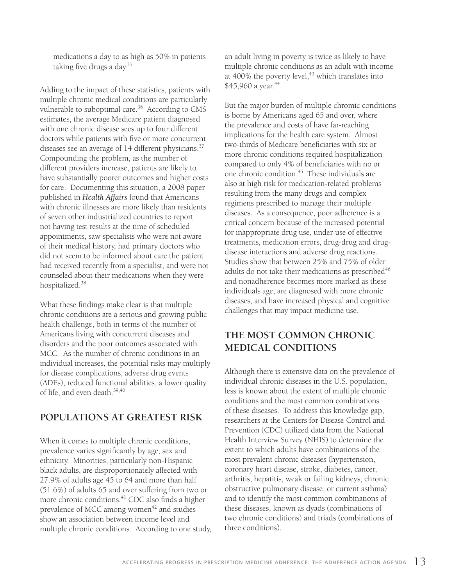medications a day to as high as 50% in patients taking five drugs a day.<sup>35</sup>

Adding to the impact of these statistics, patients with multiple chronic medical conditions are particularly vulnerable to suboptimal care.<sup>36</sup> According to CMS estimates, the average Medicare patient diagnosed with one chronic disease sees up to four different doctors while patients with five or more concurrent diseases see an average of 14 different physicians.<sup>37</sup> Compounding the problem, as the number of different providers increase, patients are likely to have substantially poorer outcomes and higher costs for care. Documenting this situation, a 2008 paper published in *Health Affairs* found that Americans with chronic illnesses are more likely than residents of seven other industrialized countries to report not having test results at the time of scheduled appointments, saw specialists who were not aware of their medical history, had primary doctors who did not seem to be informed about care the patient had received recently from a specialist, and were not counseled about their medications when they were hospitalized.38

What these findings make clear is that multiple chronic conditions are a serious and growing public health challenge, both in terms of the number of Americans living with concurrent diseases and disorders and the poor outcomes associated with MCC. As the number of chronic conditions in an individual increases, the potential risks may multiply for disease complications, adverse drug events (ADEs), reduced functional abilities, a lower quality of life, and even death.39,40

#### **POPULATIONS AT GREATEST RISK**

When it comes to multiple chronic conditions, prevalence varies significantly by age, sex and ethnicity. Minorities, particularly non-Hispanic black adults, are disproportionately affected with 27.9% of adults age 45 to 64 and more than half (51.6%) of adults 65 and over suffering from two or more chronic conditions.<sup>41</sup> CDC also finds a higher prevalence of MCC among women<sup>42</sup> and studies show an association between income level and multiple chronic conditions. According to one study, an adult living in poverty is twice as likely to have multiple chronic conditions as an adult with income at  $400\%$  the poverty level, $43$  which translates into \$45,960 a year.<sup>44</sup>

But the major burden of multiple chromic conditions is borne by Americans aged 65 and over, where the prevalence and costs of have far-reaching implications for the health care system. Almost two-thirds of Medicare beneficiaries with six or more chronic conditions required hospitalization compared to only 4% of beneficiaries with no or one chronic condition.<sup>45</sup> These individuals are also at high risk for medication-related problems resulting from the many drugs and complex regimens prescribed to manage their multiple diseases. As a consequence, poor adherence is a critical concern because of the increased potential for inappropriate drug use, under-use of effective treatments, medication errors, drug-drug and drugdisease interactions and adverse drug reactions. Studies show that between 25% and 75% of older adults do not take their medications as prescribed<sup>46</sup> and nonadherence becomes more marked as these individuals age, are diagnosed with more chronic diseases, and have increased physical and cognitive challenges that may impact medicine use.

### **THE MOST COMMON CHRONIC MEDICAL CONDITIONS**

Although there is extensive data on the prevalence of individual chronic diseases in the U.S. population, less is known about the extent of multiple chronic conditions and the most common combinations of these diseases. To address this knowledge gap, researchers at the Centers for Disease Control and Prevention (CDC) utilized data from the National Health Interview Survey (NHIS) to determine the extent to which adults have combinations of the most prevalent chronic diseases (hypertension, coronary heart disease, stroke, diabetes, cancer, arthritis, hepatitis, weak or failing kidneys, chronic obstructive pulmonary disease, or current asthma) and to identify the most common combinations of these diseases, known as dyads (combinations of two chronic conditions) and triads (combinations of three conditions).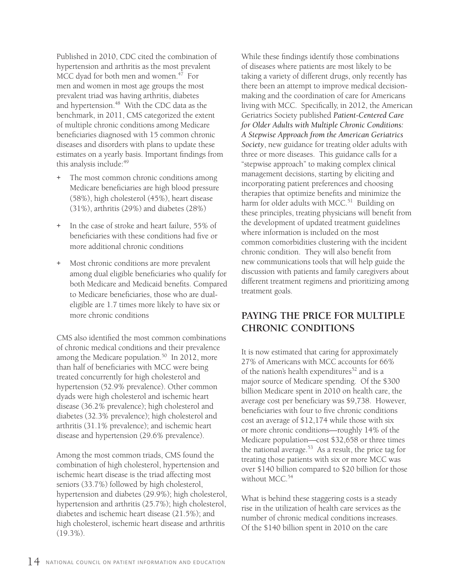Published in 2010, CDC cited the combination of hypertension and arthritis as the most prevalent MCC dyad for both men and women. $47$  For men and women in most age groups the most prevalent triad was having arthritis, diabetes and hypertension.<sup>48</sup> With the CDC data as the benchmark, in 2011, CMS categorized the extent of multiple chronic conditions among Medicare beneficiaries diagnosed with 15 common chronic diseases and disorders with plans to update these estimates on a yearly basis. Important findings from this analysis include:<sup>49</sup>

- The most common chronic conditions among Medicare beneficiaries are high blood pressure (58%), high cholesterol (45%), heart disease (31%), arthritis (29%) and diabetes (28%)
- + In the case of stroke and heart failure, 55% of beneficiaries with these conditions had five or more additional chronic conditions
- + Most chronic conditions are more prevalent among dual eligible beneficiaries who qualify for both Medicare and Medicaid benefits. Compared to Medicare beneficiaries, those who are dualeligible are 1.7 times more likely to have six or more chronic conditions

CMS also identified the most common combinations of chronic medical conditions and their prevalence among the Medicare population.<sup>50</sup> In 2012, more than half of beneficiaries with MCC were being treated concurrently for high cholesterol and hypertension (52.9% prevalence). Other common dyads were high cholesterol and ischemic heart disease (36.2% prevalence); high cholesterol and diabetes (32.3% prevalence); high cholesterol and arthritis (31.1% prevalence); and ischemic heart disease and hypertension (29.6% prevalence).

Among the most common triads, CMS found the combination of high cholesterol, hypertension and ischemic heart disease is the triad affecting most seniors (33.7%) followed by high cholesterol, hypertension and diabetes (29.9%); high cholesterol, hypertension and arthritis (25.7%); high cholesterol, diabetes and ischemic heart disease (21.5%); and high cholesterol, ischemic heart disease and arthritis (19.3%).

While these findings identify those combinations of diseases where patients are most likely to be taking a variety of different drugs, only recently has there been an attempt to improve medical decisionmaking and the coordination of care for Americans living with MCC. Specifically, in 2012, the American Geriatrics Society published *Patient-Centered Care for Older Adults with Multiple Chronic Conditions: A Stepwise Approach from the American Geriatrics Society*, new guidance for treating older adults with three or more diseases. This guidance calls for a "stepwise approach" to making complex clinical management decisions, starting by eliciting and incorporating patient preferences and choosing therapies that optimize benefits and minimize the harm for older adults with MCC.<sup>51</sup> Building on these principles, treating physicians will benefit from the development of updated treatment guidelines where information is included on the most common comorbidities clustering with the incident chronic condition. They will also benefit from new communications tools that will help guide the discussion with patients and family caregivers about different treatment regimens and prioritizing among treatment goals.

### **PAYING THE PRICE FOR MULTIPLE CHRONIC CONDITIONS**

It is now estimated that caring for approximately 27% of Americans with MCC accounts for 66% of the nation's health expenditures<sup>52</sup> and is a major source of Medicare spending. Of the \$300 billion Medicare spent in 2010 on health care, the average cost per beneficiary was \$9,738. However, beneficiaries with four to five chronic conditions cost an average of \$12,174 while those with six or more chronic conditions—roughly 14% of the Medicare population—cost \$32,658 or three times the national average. $53$  As a result, the price tag for treating those patients with six or more MCC was over \$140 billion compared to \$20 billion for those without MCC.<sup>54</sup>

What is behind these staggering costs is a steady rise in the utilization of health care services as the number of chronic medical conditions increases. Of the \$140 billion spent in 2010 on the care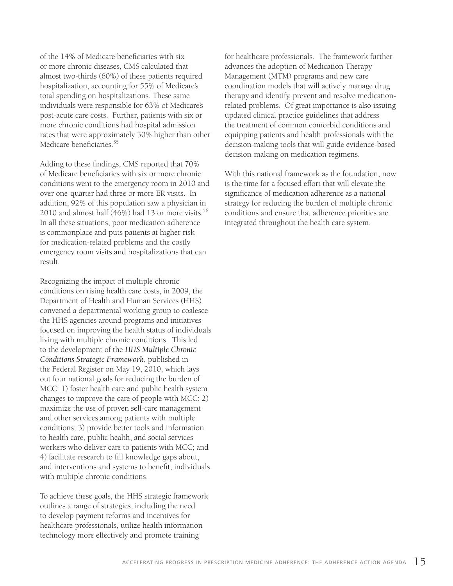of the 14% of Medicare beneficiaries with six or more chronic diseases, CMS calculated that almost two-thirds (60%) of these patients required hospitalization, accounting for 55% of Medicare's total spending on hospitalizations. These same individuals were responsible for 63% of Medicare's post-acute care costs. Further, patients with six or more chronic conditions had hospital admission rates that were approximately 30% higher than other Medicare beneficiaries.<sup>55</sup>

Adding to these findings, CMS reported that 70% of Medicare beneficiaries with six or more chronic conditions went to the emergency room in 2010 and over one-quarter had three or more ER visits. In addition, 92% of this population saw a physician in 2010 and almost half  $(46%)$  had 13 or more visits.<sup>56</sup> In all these situations, poor medication adherence is commonplace and puts patients at higher risk for medication-related problems and the costly emergency room visits and hospitalizations that can result.

Recognizing the impact of multiple chronic conditions on rising health care costs, in 2009, the Department of Health and Human Services (HHS) convened a departmental working group to coalesce the HHS agencies around programs and initiatives focused on improving the health status of individuals living with multiple chronic conditions. This led to the development of the *HHS Multiple Chronic Conditions Strategic Framework*, published in the Federal Register on May 19, 2010, which lays out four national goals for reducing the burden of MCC: 1) foster health care and public health system changes to improve the care of people with MCC; 2) maximize the use of proven self-care management and other services among patients with multiple conditions; 3) provide better tools and information to health care, public health, and social services workers who deliver care to patients with MCC; and 4) facilitate research to fill knowledge gaps about, and interventions and systems to benefit, individuals with multiple chronic conditions.

To achieve these goals, the HHS strategic framework outlines a range of strategies, including the need to develop payment reforms and incentives for healthcare professionals, utilize health information technology more effectively and promote training

for healthcare professionals. The framework further advances the adoption of Medication Therapy Management (MTM) programs and new care coordination models that will actively manage drug therapy and identify, prevent and resolve medicationrelated problems. Of great importance is also issuing updated clinical practice guidelines that address the treatment of common comorbid conditions and equipping patients and health professionals with the decision-making tools that will guide evidence-based decision-making on medication regimens.

With this national framework as the foundation, now is the time for a focused effort that will elevate the significance of medication adherence as a national strategy for reducing the burden of multiple chronic conditions and ensure that adherence priorities are integrated throughout the health care system.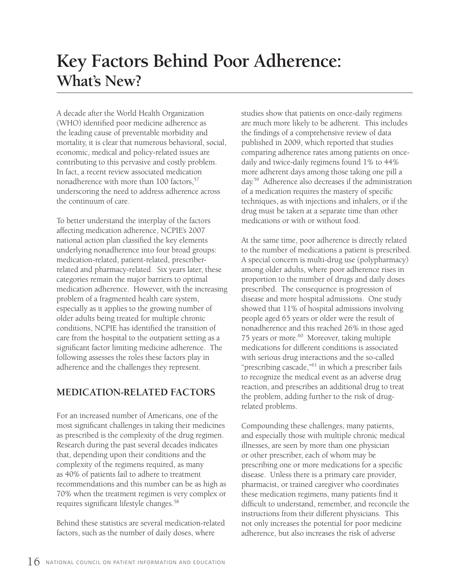## **Key Factors Behind Poor Adherence: What's New?**

A decade after the World Health Organization (WHO) identified poor medicine adherence as the leading cause of preventable morbidity and mortality, it is clear that numerous behavioral, social, economic, medical and policy-related issues are contributing to this pervasive and costly problem. In fact, a recent review associated medication nonadherence with more than  $100$  factors,  $57$ underscoring the need to address adherence across the continuum of care.

To better understand the interplay of the factors affecting medication adherence, NCPIE's 2007 national action plan classified the key elements underlying nonadherence into four broad groups: medication-related, patient-related, prescriberrelated and pharmacy-related. Six years later, these categories remain the major barriers to optimal medication adherence. However, with the increasing problem of a fragmented health care system, especially as it applies to the growing number of older adults being treated for multiple chronic conditions, NCPIE has identified the transition of care from the hospital to the outpatient setting as a significant factor limiting medicine adherence. The following assesses the roles these factors play in adherence and the challenges they represent.

#### **MEDICATION-RELATED FACTORS**

For an increased number of Americans, one of the most significant challenges in taking their medicines as prescribed is the complexity of the drug regimen. Research during the past several decades indicates that, depending upon their conditions and the complexity of the regimens required, as many as 40% of patients fail to adhere to treatment recommendations and this number can be as high as 70% when the treatment regimen is very complex or requires significant lifestyle changes.<sup>58</sup>

Behind these statistics are several medication-related factors, such as the number of daily doses, where

studies show that patients on once-daily regimens are much more likely to be adherent. This includes the findings of a comprehensive review of data published in 2009, which reported that studies comparing adherence rates among patients on oncedaily and twice-daily regimens found 1% to 44% more adherent days among those taking one pill a day.59 Adherence also decreases if the administration of a medication requires the mastery of specific techniques, as with injections and inhalers, or if the drug must be taken at a separate time than other medications or with or without food.

At the same time, poor adherence is directly related to the number of medications a patient is prescribed. A special concern is multi-drug use (polypharmacy) among older adults, where poor adherence rises in proportion to the number of drugs and daily doses prescribed. The consequence is progression of disease and more hospital admissions. One study showed that 11% of hospital admissions involving people aged 65 years or older were the result of nonadherence and this reached 26% in those aged 75 years or more.<sup>60</sup> Moreover, taking multiple medications for different conditions is associated with serious drug interactions and the so-called "prescribing cascade,"<sup>61</sup> in which a prescriber fails to recognize the medical event as an adverse drug reaction, and prescribes an additional drug to treat the problem, adding further to the risk of drugrelated problems.

Compounding these challenges, many patients, and especially those with multiple chronic medical illnesses, are seen by more than one physician or other prescriber, each of whom may be prescribing one or more medications for a specific disease. Unless there is a primary care provider, pharmacist, or trained caregiver who coordinates these medication regimens, many patients find it difficult to understand, remember, and reconcile the instructions from their different physicians. This not only increases the potential for poor medicine adherence, but also increases the risk of adverse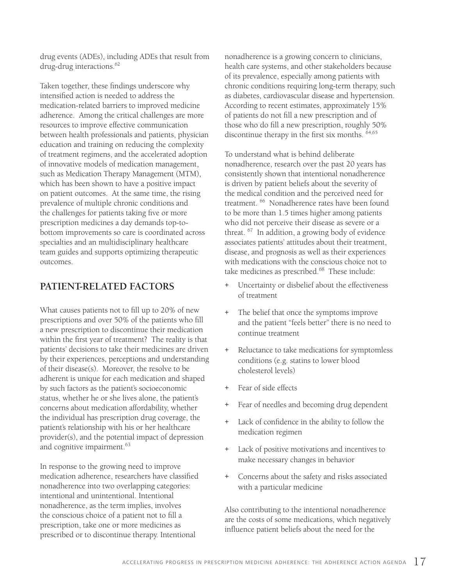drug events (ADEs), including ADEs that result from drug-drug interactions.<sup>62</sup>

Taken together, these findings underscore why intensified action is needed to address the medication-related barriers to improved medicine adherence. Among the critical challenges are more resources to improve effective communication between health professionals and patients, physician education and training on reducing the complexity of treatment regimens, and the accelerated adoption of innovative models of medication management, such as Medication Therapy Management (MTM), which has been shown to have a positive impact on patient outcomes. At the same time, the rising prevalence of multiple chronic conditions and the challenges for patients taking five or more prescription medicines a day demands top-tobottom improvements so care is coordinated across specialties and an multidisciplinary healthcare team guides and supports optimizing therapeutic outcomes.

#### **PATIENT-RELATED FACTORS**

What causes patients not to fill up to 20% of new prescriptions and over 50% of the patients who fill a new prescription to discontinue their medication within the first year of treatment? The reality is that patients' decisions to take their medicines are driven by their experiences, perceptions and understanding of their disease(s). Moreover, the resolve to be adherent is unique for each medication and shaped by such factors as the patient's socioeconomic status, whether he or she lives alone, the patient's concerns about medication affordability, whether the individual has prescription drug coverage, the patient's relationship with his or her healthcare provider(s), and the potential impact of depression and cognitive impairment.<sup>63</sup>

In response to the growing need to improve medication adherence, researchers have classified nonadherence into two overlapping categories: intentional and unintentional. Intentional nonadherence, as the term implies, involves the conscious choice of a patient not to fill a prescription, take one or more medicines as prescribed or to discontinue therapy. Intentional

nonadherence is a growing concern to clinicians, health care systems, and other stakeholders because of its prevalence, especially among patients with chronic conditions requiring long-term therapy, such as diabetes, cardiovascular disease and hypertension. According to recent estimates, approximately 15% of patients do not fill a new prescription and of those who do fill a new prescription, roughly 50% discontinue therapy in the first six months. 64,65

To understand what is behind deliberate nonadherence, research over the past 20 years has consistently shown that intentional nonadherence is driven by patient beliefs about the severity of the medical condition and the perceived need for treatment. 66 Nonadherence rates have been found to be more than 1.5 times higher among patients who did not perceive their disease as severe or a threat. 67 In addition, a growing body of evidence associates patients' attitudes about their treatment, disease, and prognosis as well as their experiences with medications with the conscious choice not to take medicines as prescribed. $68$  These include:

- + Uncertainty or disbelief about the effectiveness of treatment
- + The belief that once the symptoms improve and the patient "feels better" there is no need to continue treatment
- + Reluctance to take medications for symptomless conditions (e.g. statins to lower blood cholesterol levels)
- + Fear of side effects
- + Fear of needles and becoming drug dependent
- + Lack of confidence in the ability to follow the medication regimen
- + Lack of positive motivations and incentives to make necessary changes in behavior
- + Concerns about the safety and risks associated with a particular medicine

Also contributing to the intentional nonadherence are the costs of some medications, which negatively influence patient beliefs about the need for the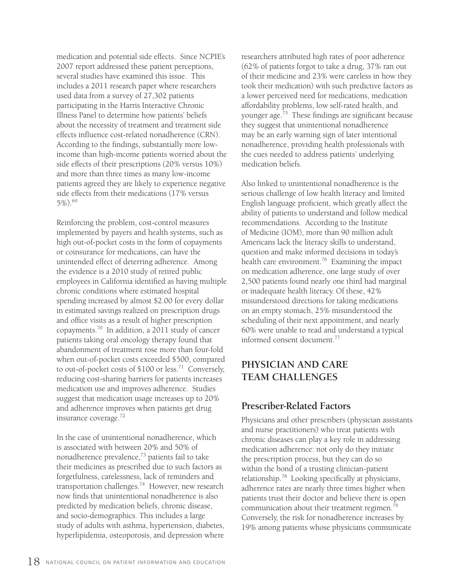medication and potential side effects. Since NCPIE's 2007 report addressed these patient perceptions, several studies have examined this issue. This includes a 2011 research paper where researchers used data from a survey of 27,302 patients participating in the Harris Interactive Chronic Illness Panel to determine how patients' beliefs about the necessity of treatment and treatment side effects influence cost-related nonadherence (CRN). According to the findings, substantially more lowincome than high-income patients worried about the side effects of their prescriptions (20% versus 10%) and more than three times as many low-income patients agreed they are likely to experience negative side effects from their medications (17% versus 5%).69

Reinforcing the problem, cost-control measures implemented by payers and health systems, such as high out-of-pocket costs in the form of copayments or coinsurance for medications, can have the unintended effect of deterring adherence. Among the evidence is a 2010 study of retired public employees in California identified as having multiple chronic conditions where estimated hospital spending increased by almost \$2.00 for every dollar in estimated savings realized on prescription drugs and office visits as a result of higher prescription copayments.70 In addition, a 2011 study of cancer patients taking oral oncology therapy found that abandonment of treatment rose more than four-fold when out-of-pocket costs exceeded \$500, compared to out-of-pocket costs of  $$100$  or less.<sup>71</sup> Conversely, reducing cost-sharing barriers for patients increases medication use and improves adherence. Studies suggest that medication usage increases up to 20% and adherence improves when patients get drug insurance coverage.72

In the case of unintentional nonadherence, which is associated with between 20% and 50% of nonadherence prevalence,73 patients fail to take their medicines as prescribed due to such factors as forgetfulness, carelessness, lack of reminders and transportation challenges.74 However, new research now finds that unintentional nonadherence is also predicted by medication beliefs, chronic disease, and socio-demographics. This includes a large study of adults with asthma, hypertension, diabetes, hyperlipidemia, osteoporosis, and depression where

researchers attributed high rates of poor adherence (62% of patients forgot to take a drug, 37% ran out of their medicine and 23% were careless in how they took their medication) with such predictive factors as a lower perceived need for medications, medication affordability problems, low self-rated health, and younger age.<sup>75</sup> These findings are significant because they suggest that unintentional nonadherence may be an early warning sign of later intentional nonadherence, providing health professionals with the cues needed to address patients' underlying medication beliefs.

Also linked to unintentional nonadherence is the serious challenge of low health literacy and limited English language proficient, which greatly affect the ability of patients to understand and follow medical recommendations. According to the Institute of Medicine (IOM), more than 90 million adult Americans lack the literacy skills to understand, question and make informed decisions in today's health care environment.<sup>76</sup> Examining the impact on medication adherence, one large study of over 2,500 patients found nearly one third had marginal or inadequate health literacy. Of these, 42% misunderstood directions for taking medications on an empty stomach, 25% misunderstood the scheduling of their next appointment, and nearly 60% were unable to read and understand a typical informed consent document.77

### **PHYSICIAN AND CARE TEAM CHALLENGES**

#### **Prescriber-Related Factors**

Physicians and other prescribers (physician assistants and nurse practitioners) who treat patients with chronic diseases can play a key role in addressing medication adherence: not only do they initiate the prescription process, but they can do so within the bond of a trusting clinician-patient relationship.78 Looking specifically at physicians, adherence rates are nearly three times higher when patients trust their doctor and believe there is open communication about their treatment regimen.<sup>79</sup> Conversely, the risk for nonadherence increases by 19% among patients whose physicians communicate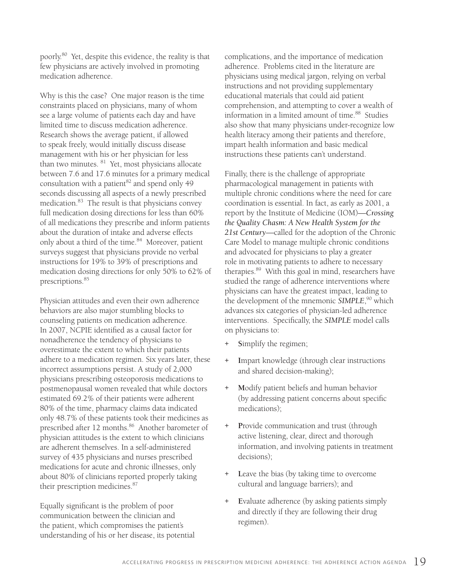poorly.80 Yet, despite this evidence, the reality is that few physicians are actively involved in promoting medication adherence.

Why is this the case? One major reason is the time constraints placed on physicians, many of whom see a large volume of patients each day and have limited time to discuss medication adherence. Research shows the average patient, if allowed to speak freely, would initially discuss disease management with his or her physician for less than two minutes. 81 Yet, most physicians allocate between 7.6 and 17.6 minutes for a primary medical consultation with a patient $82$  and spend only 49 seconds discussing all aspects of a newly prescribed medication.<sup>83</sup> The result is that physicians convey full medication dosing directions for less than 60% of all medications they prescribe and inform patients about the duration of intake and adverse effects only about a third of the time.<sup>84</sup> Moreover, patient surveys suggest that physicians provide no verbal instructions for 19% to 39% of prescriptions and medication dosing directions for only 50% to 62% of prescriptions.<sup>85</sup>

Physician attitudes and even their own adherence behaviors are also major stumbling blocks to counseling patients on medication adherence. In 2007, NCPIE identified as a causal factor for nonadherence the tendency of physicians to overestimate the extent to which their patients adhere to a medication regimen. Six years later, these incorrect assumptions persist. A study of 2,000 physicians prescribing osteoporosis medications to postmenopausal women revealed that while doctors estimated 69.2% of their patients were adherent 80% of the time, pharmacy claims data indicated only 48.7% of these patients took their medicines as prescribed after 12 months.<sup>86</sup> Another barometer of physician attitudes is the extent to which clinicians are adherent themselves. In a self-administered survey of 435 physicians and nurses prescribed medications for acute and chronic illnesses, only about 80% of clinicians reported properly taking their prescription medicines.<sup>87</sup>

Equally significant is the problem of poor communication between the clinician and the patient, which compromises the patient's understanding of his or her disease, its potential complications, and the importance of medication adherence. Problems cited in the literature are physicians using medical jargon, relying on verbal instructions and not providing supplementary educational materials that could aid patient comprehension, and attempting to cover a wealth of information in a limited amount of time.<sup>88</sup> Studies also show that many physicians under-recognize low health literacy among their patients and therefore, impart health information and basic medical instructions these patients can't understand.

Finally, there is the challenge of appropriate pharmacological management in patients with multiple chronic conditions where the need for care coordination is essential. In fact, as early as 2001, a report by the Institute of Medicine (IOM)—*Crossing the Quality Chasm: A New Health System for the 21st Century*—called for the adoption of the Chronic Care Model to manage multiple chronic conditions and advocated for physicians to play a greater role in motivating patients to adhere to necessary therapies.<sup>89</sup> With this goal in mind, researchers have studied the range of adherence interventions where physicians can have the greatest impact, leading to the development of the mnemonic *SIMPLE*, 90 which advances six categories of physician-led adherence interventions. Specifically, the *SIMPLE* model calls on physicians to:

- Simplify the regimen;
- + **I**mpart knowledge (through clear instructions and shared decision-making);
- + **M**odify patient beliefs and human behavior (by addressing patient concerns about specific medications);
- Provide communication and trust (through active listening, clear, direct and thorough information, and involving patients in treatment decisions);
- + **L**eave the bias (by taking time to overcome cultural and language barriers); and
- + **E**valuate adherence (by asking patients simply and directly if they are following their drug regimen).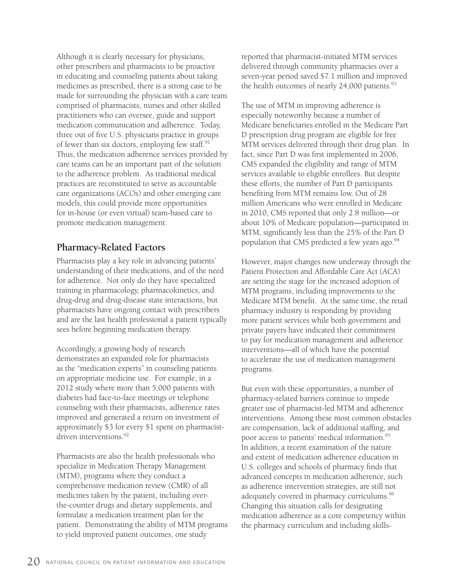Although it is clearly necessary for physicians, other prescribers and pharmacists to be proactive in educating and counseling patients about taking medicines as prescribed, there is a strong case to be made for surrounding the physician with a care team comprised of pharmacists, nurses and other skilled practitioners who can oversee, guide and support medication communication and adherence. Today, three out of five U.S. physicians practice in groups of fewer than six doctors, employing few staff.91 Thus, the medication adherence services provided by care teams can be an important part of the solution to the adherence problem. As traditional medical practices are reconstituted to serve as accountable care organizations (ACOs) and other emerging care models, this could provide more opportunities for in-house (or even virtual) team-based care to promote medication management.

#### **Pharmacy-Related Factors**

Pharmacists play a key role in advancing patients' understanding of their medications, and of the need for adherence. Not only do they have specialized training in pharmacology, pharmacokinetics, and drug-drug and drug-disease state interactions, but pharmacists have ongoing contact with prescribers and are the last health professional a patient typically sees before beginning medication therapy.

Accordingly, a growing body of research demonstrates an expanded role for pharmacists as the "medication experts" in counseling patients on appropriate medicine use. For example, in a 2012 study where more than 5,000 patients with diabetes had face-to-face meetings or telephone counseling with their pharmacists, adherence rates improved and generated a return on investment of approximately \$3 for every \$1 spent on pharmacistdriven interventions.<sup>92</sup>

Pharmacists are also the health professionals who specialize in Medication Therapy Management (MTM), programs where they conduct a comprehensive medication review (CMR) of all medicines taken by the patient, including overthe-counter drugs and dietary supplements, and formulate a medication treatment plan for the patient. Demonstrating the ability of MTM programs to yield improved patient outcomes, one study

reported that pharmacist-initiated MTM services delivered through community pharmacies over a seven-year period saved \$7.1 million and improved the health outcomes of nearly 24,000 patients.<sup>93</sup>

The use of MTM in improving adherence is especially noteworthy because a number of Medicare beneficiaries enrolled in the Medicare Part D prescription drug program are eligible for free MTM services delivered through their drug plan. In fact, since Part D was first implemented in 2006, CMS expanded the eligibility and range of MTM services available to eligible enrollees. But despite these efforts, the number of Part D participants benefiting from MTM remains low. Out of 28 million Americans who were enrolled in Medicare in 2010, CMS reported that only 2.8 million—or about 10% of Medicare population—participated in MTM, significantly less than the 25% of the Part D population that CMS predicted a few years ago.<sup>94</sup>

However, major changes now underway through the Patient Protection and Affordable Care Act (ACA) are setting the stage for the increased adoption of MTM programs, including improvements to the Medicare MTM benefit. At the same time, the retail pharmacy industry is responding by providing more patient services while both government and private payers have indicated their commitment to pay for medication management and adherence interventions—all of which have the potential to accelerate the use of medication management programs.

But even with these opportunities, a number of pharmacy-related barriers continue to impede greater use of pharmacist-led MTM and adherence interventions. Among these most common obstacles are compensation, lack of additional staffing, and poor access to patients' medical information.95 In addition, a recent examination of the nature and extent of medication adherence education in U.S. colleges and schools of pharmacy finds that advanced concepts in medication adherence, such as adherence intervention strategies, are still not adequately covered in pharmacy curriculums.<sup>96</sup> Changing this situation calls for designating medication adherence as a core competency within the pharmacy curriculum and including skills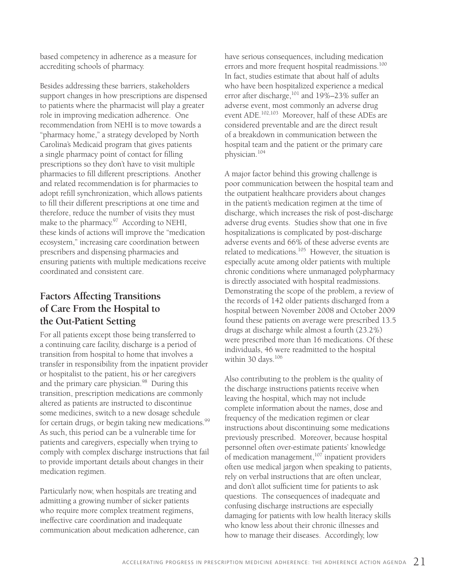based competency in adherence as a measure for accrediting schools of pharmacy.

Besides addressing these barriers, stakeholders support changes in how prescriptions are dispensed to patients where the pharmacist will play a greater role in improving medication adherence. One recommendation from NEHI is to move towards a "pharmacy home," a strategy developed by North Carolina's Medicaid program that gives patients a single pharmacy point of contact for filling prescriptions so they don't have to visit multiple pharmacies to fill different prescriptions. Another and related recommendation is for pharmacies to adopt refill synchronization, which allows patients to fill their different prescriptions at one time and therefore, reduce the number of visits they must make to the pharmacy.<sup>97</sup> According to NEHI, these kinds of actions will improve the "medication ecosystem," increasing care coordination between prescribers and dispensing pharmacies and ensuring patients with multiple medications receive coordinated and consistent care.

#### **Factors Affecting Transitions of Care From the Hospital to the Out-Patient Setting**

For all patients except those being transferred to a continuing care facility, discharge is a period of transition from hospital to home that involves a transfer in responsibility from the inpatient provider or hospitalist to the patient, his or her caregivers and the primary care physician.<sup>98</sup> During this transition, prescription medications are commonly altered as patients are instructed to discontinue some medicines, switch to a new dosage schedule for certain drugs, or begin taking new medications.<sup>99</sup> As such, this period can be a vulnerable time for patients and caregivers, especially when trying to comply with complex discharge instructions that fail to provide important details about changes in their medication regimen.

Particularly now, when hospitals are treating and admitting a growing number of sicker patients who require more complex treatment regimens, ineffective care coordination and inadequate communication about medication adherence, can have serious consequences, including medication errors and more frequent hospital readmissions.<sup>100</sup> In fact, studies estimate that about half of adults who have been hospitalized experience a medical error after discharge,<sup>101</sup> and 19%–23% suffer an adverse event, most commonly an adverse drug event ADE.102,103 Moreover, half of these ADEs are considered preventable and are the direct result of a breakdown in communication between the hospital team and the patient or the primary care physician.104

A major factor behind this growing challenge is poor communication between the hospital team and the outpatient healthcare providers about changes in the patient's medication regimen at the time of discharge, which increases the risk of post-discharge adverse drug events. Studies show that one in five hospitalizations is complicated by post-discharge adverse events and 66% of these adverse events are related to medications.<sup>105</sup> However, the situation is especially acute among older patients with multiple chronic conditions where unmanaged polypharmacy is directly associated with hospital readmissions. Demonstrating the scope of the problem, a review of the records of 142 older patients discharged from a hospital between November 2008 and October 2009 found these patients on average were prescribed 13.5 drugs at discharge while almost a fourth (23.2%) were prescribed more than 16 medications. Of these individuals, 46 were readmitted to the hospital within 30 days.<sup>106</sup>

Also contributing to the problem is the quality of the discharge instructions patients receive when leaving the hospital, which may not include complete information about the names, dose and frequency of the medication regimen or clear instructions about discontinuing some medications previously prescribed. Moreover, because hospital personnel often over-estimate patients' knowledge of medication management, $107$  inpatient providers often use medical jargon when speaking to patients, rely on verbal instructions that are often unclear, and don't allot sufficient time for patients to ask questions. The consequences of inadequate and confusing discharge instructions are especially damaging for patients with low health literacy skills who know less about their chronic illnesses and how to manage their diseases. Accordingly, low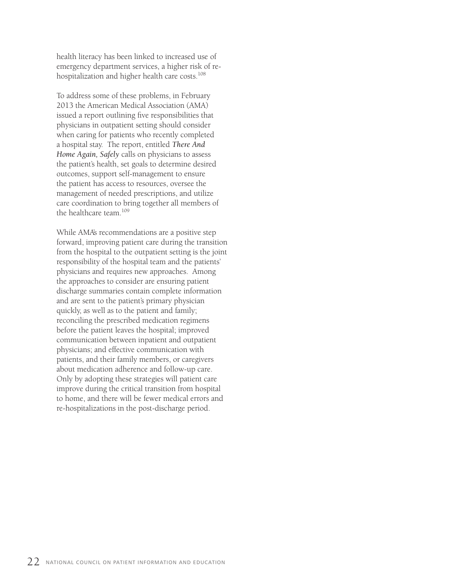health literacy has been linked to increased use of emergency department services, a higher risk of rehospitalization and higher health care costs.<sup>108</sup>

To address some of these problems, in February 2013 the American Medical Association (AMA) issued a report outlining five responsibilities that physicians in outpatient setting should consider when caring for patients who recently completed a hospital stay. The report, entitled *There And Home Again, Safely* calls on physicians to assess the patient's health, set goals to determine desired outcomes, support self-management to ensure the patient has access to resources, oversee the management of needed prescriptions, and utilize care coordination to bring together all members of the healthcare team.<sup>109</sup>

While AMA's recommendations are a positive step forward, improving patient care during the transition from the hospital to the outpatient setting is the joint responsibility of the hospital team and the patients' physicians and requires new approaches. Among the approaches to consider are ensuring patient discharge summaries contain complete information and are sent to the patient's primary physician quickly, as well as to the patient and family; reconciling the prescribed medication regimens before the patient leaves the hospital; improved communication between inpatient and outpatient physicians; and effective communication with patients, and their family members, or caregivers about medication adherence and follow-up care. Only by adopting these strategies will patient care improve during the critical transition from hospital to home, and there will be fewer medical errors and re-hospitalizations in the post-discharge period.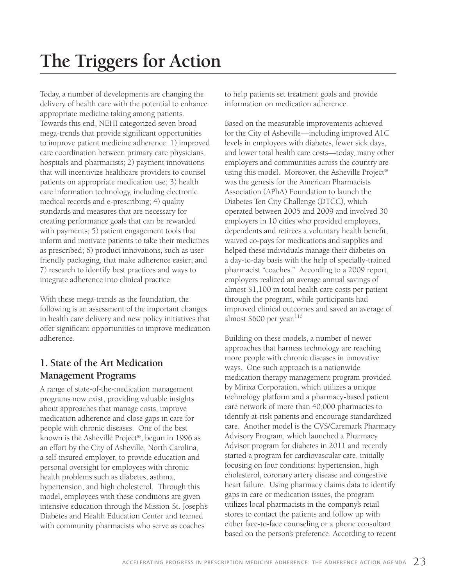# **The Triggers for Action**

Today, a number of developments are changing the delivery of health care with the potential to enhance appropriate medicine taking among patients. Towards this end, NEHI categorized seven broad mega-trends that provide significant opportunities to improve patient medicine adherence: 1) improved care coordination between primary care physicians, hospitals and pharmacists; 2) payment innovations that will incentivize healthcare providers to counsel patients on appropriate medication use; 3) health care information technology, including electronic medical records and e-prescribing; 4) quality standards and measures that are necessary for creating performance goals that can be rewarded with payments; 5) patient engagement tools that inform and motivate patients to take their medicines as prescribed; 6) product innovations, such as userfriendly packaging, that make adherence easier; and 7) research to identify best practices and ways to integrate adherence into clinical practice.

With these mega-trends as the foundation, the following is an assessment of the important changes in health care delivery and new policy initiatives that offer significant opportunities to improve medication adherence.

#### **1. State of the Art Medication Management Programs**

A range of state-of-the-medication management programs now exist, providing valuable insights about approaches that manage costs, improve medication adherence and close gaps in care for people with chronic diseases. One of the best known is the Asheville Project®, begun in 1996 as an effort by the City of Asheville, North Carolina, a self-insured employer, to provide education and personal oversight for employees with chronic health problems such as diabetes, asthma, hypertension, and high cholesterol. Through this model, employees with these conditions are given intensive education through the Mission-St. Joseph's Diabetes and Health Education Center and teamed with community pharmacists who serve as coaches

to help patients set treatment goals and provide information on medication adherence.

Based on the measurable improvements achieved for the City of Asheville—including improved A1C levels in employees with diabetes, fewer sick days, and lower total health care costs—today, many other employers and communities across the country are using this model. Moreover, the Asheville Project® was the genesis for the American Pharmacists Association (APhA) Foundation to launch the Diabetes Ten City Challenge (DTCC), which operated between 2005 and 2009 and involved 30 employers in 10 cities who provided employees, dependents and retirees a voluntary health benefit, waived co-pays for medications and supplies and helped these individuals manage their diabetes on a day-to-day basis with the help of specially-trained pharmacist "coaches." According to a 2009 report, employers realized an average annual savings of almost \$1,100 in total health care costs per patient through the program, while participants had improved clinical outcomes and saved an average of almost \$600 per year.<sup>110</sup>

Building on these models, a number of newer approaches that harness technology are reaching more people with chronic diseases in innovative ways. One such approach is a nationwide medication therapy management program provided by Mirixa Corporation, which utilizes a unique technology platform and a pharmacy-based patient care network of more than 40,000 pharmacies to identify at-risk patients and encourage standardized care. Another model is the CVS/Caremark Pharmacy Advisory Program, which launched a Pharmacy Advisor program for diabetes in 2011 and recently started a program for cardiovascular care, initially focusing on four conditions: hypertension, high cholesterol, coronary artery disease and congestive heart failure. Using pharmacy claims data to identify gaps in care or medication issues, the program utilizes local pharmacists in the company's retail stores to contact the patients and follow up with either face-to-face counseling or a phone consultant based on the person's preference. According to recent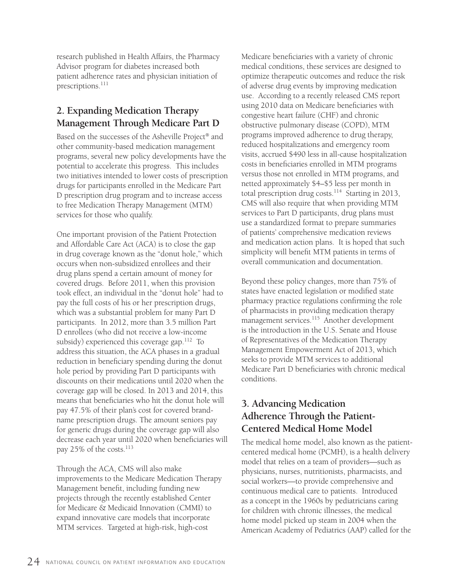research published in Health Affairs, the Pharmacy Advisor program for diabetes increased both patient adherence rates and physician initiation of prescriptions.<sup>111</sup>

### **2. Expanding Medication Therapy Management Through Medicare Part D**

Based on the successes of the Asheville Project® and other community-based medication management programs, several new policy developments have the potential to accelerate this progress. This includes two initiatives intended to lower costs of prescription drugs for participants enrolled in the Medicare Part D prescription drug program and to increase access to free Medication Therapy Management (MTM) services for those who qualify.

One important provision of the Patient Protection and Affordable Care Act (ACA) is to close the gap in drug coverage known as the "donut hole," which occurs when non-subsidized enrollees and their drug plans spend a certain amount of money for covered drugs. Before 2011, when this provision took effect, an individual in the "donut hole" had to pay the full costs of his or her prescription drugs, which was a substantial problem for many Part D participants. In 2012, more than 3.5 million Part D enrollees (who did not receive a low-income subsidy) experienced this coverage gap.<sup>112</sup> To address this situation, the ACA phases in a gradual reduction in beneficiary spending during the donut hole period by providing Part D participants with discounts on their medications until 2020 when the coverage gap will be closed. In 2013 and 2014, this means that beneficiaries who hit the donut hole will pay 47.5% of their plan's cost for covered brandname prescription drugs. The amount seniors pay for generic drugs during the coverage gap will also decrease each year until 2020 when beneficiaries will pay 25% of the costs.<sup>113</sup>

Through the ACA, CMS will also make improvements to the Medicare Medication Therapy Management benefit, including funding new projects through the recently established Center for Medicare & Medicaid Innovation (CMMI) to expand innovative care models that incorporate MTM services. Targeted at high-risk, high-cost

Medicare beneficiaries with a variety of chronic medical conditions, these services are designed to optimize therapeutic outcomes and reduce the risk of adverse drug events by improving medication use. According to a recently released CMS report using 2010 data on Medicare beneficiaries with congestive heart failure (CHF) and chronic obstructive pulmonary disease (COPD), MTM programs improved adherence to drug therapy, reduced hospitalizations and emergency room visits, accrued \$490 less in all-cause hospitalization costs in beneficiaries enrolled in MTM programs versus those not enrolled in MTM programs, and netted approximately \$4–\$5 less per month in total prescription drug costs.<sup>114</sup> Starting in 2013, CMS will also require that when providing MTM services to Part D participants, drug plans must use a standardized format to prepare summaries of patients' comprehensive medication reviews and medication action plans. It is hoped that such simplicity will benefit MTM patients in terms of overall communication and documentation.

Beyond these policy changes, more than 75% of states have enacted legislation or modified state pharmacy practice regulations confirming the role of pharmacists in providing medication therapy management services.<sup>115</sup> Another development is the introduction in the U.S. Senate and House of Representatives of the Medication Therapy Management Empowerment Act of 2013, which seeks to provide MTM services to additional Medicare Part D beneficiaries with chronic medical conditions.

#### **3. Advancing Medication Adherence Through the Patient-Centered Medical Home Model**

The medical home model, also known as the patientcentered medical home (PCMH), is a health delivery model that relies on a team of providers—such as physicians, nurses, nutritionists, pharmacists, and social workers—to provide comprehensive and continuous medical care to patients. Introduced as a concept in the 1960s by pediatricians caring for children with chronic illnesses, the medical home model picked up steam in 2004 when the American Academy of Pediatrics (AAP) called for the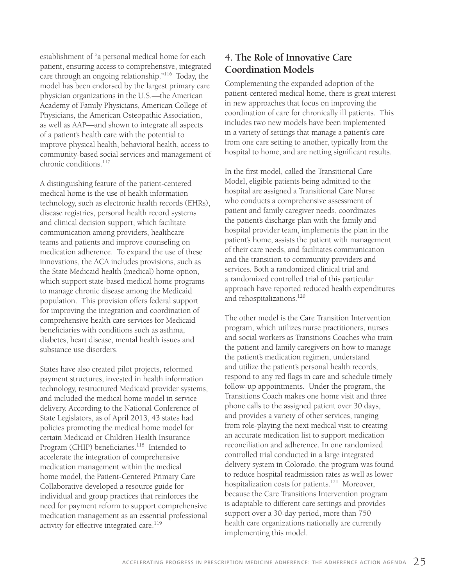establishment of "a personal medical home for each patient, ensuring access to comprehensive, integrated care through an ongoing relationship."116 Today, the model has been endorsed by the largest primary care physician organizations in the U.S.—the American Academy of Family Physicians, American College of Physicians, the American Osteopathic Association, as well as AAP—and shown to integrate all aspects of a patient's health care with the potential to improve physical health, behavioral health, access to community-based social services and management of chronic conditions.<sup>117</sup>

A distinguishing feature of the patient-centered medical home is the use of health information technology, such as electronic health records (EHRs), disease registries, personal health record systems and clinical decision support, which facilitate communication among providers, healthcare teams and patients and improve counseling on medication adherence. To expand the use of these innovations, the ACA includes provisions, such as the State Medicaid health (medical) home option, which support state-based medical home programs to manage chronic disease among the Medicaid population. This provision offers federal support for improving the integration and coordination of comprehensive health care services for Medicaid beneficiaries with conditions such as asthma, diabetes, heart disease, mental health issues and substance use disorders.

States have also created pilot projects, reformed payment structures, invested in health information technology, restructured Medicaid provider systems, and included the medical home model in service delivery. According to the National Conference of State Legislators, as of April 2013, 43 states had policies promoting the medical home model for certain Medicaid or Children Health Insurance Program (CHIP) beneficiaries.<sup>118</sup> Intended to accelerate the integration of comprehensive medication management within the medical home model, the Patient-Centered Primary Care Collaborative developed a resource guide for individual and group practices that reinforces the need for payment reform to support comprehensive medication management as an essential professional activity for effective integrated care.<sup>119</sup>

#### **4. The Role of Innovative Care Coordination Models**

Complementing the expanded adoption of the patient-centered medical home, there is great interest in new approaches that focus on improving the coordination of care for chronically ill patients. This includes two new models have been implemented in a variety of settings that manage a patient's care from one care setting to another, typically from the hospital to home, and are netting significant results.

In the first model, called the Transitional Care Model, eligible patients being admitted to the hospital are assigned a Transitional Care Nurse who conducts a comprehensive assessment of patient and family caregiver needs, coordinates the patient's discharge plan with the family and hospital provider team, implements the plan in the patient's home, assists the patient with management of their care needs, and facilitates communication and the transition to community providers and services. Both a randomized clinical trial and a randomized controlled trial of this particular approach have reported reduced health expenditures and rehospitalizations.<sup>120</sup>

The other model is the Care Transition Intervention program, which utilizes nurse practitioners, nurses and social workers as Transitions Coaches who train the patient and family caregivers on how to manage the patient's medication regimen, understand and utilize the patient's personal health records, respond to any red flags in care and schedule timely follow-up appointments. Under the program, the Transitions Coach makes one home visit and three phone calls to the assigned patient over 30 days, and provides a variety of other services, ranging from role-playing the next medical visit to creating an accurate medication list to support medication reconciliation and adherence. In one randomized controlled trial conducted in a large integrated delivery system in Colorado, the program was found to reduce hospital readmission rates as well as lower hospitalization costs for patients.<sup>121</sup> Moreover, because the Care Transitions Intervention program is adaptable to different care settings and provides support over a 30-day period, more than 750 health care organizations nationally are currently implementing this model.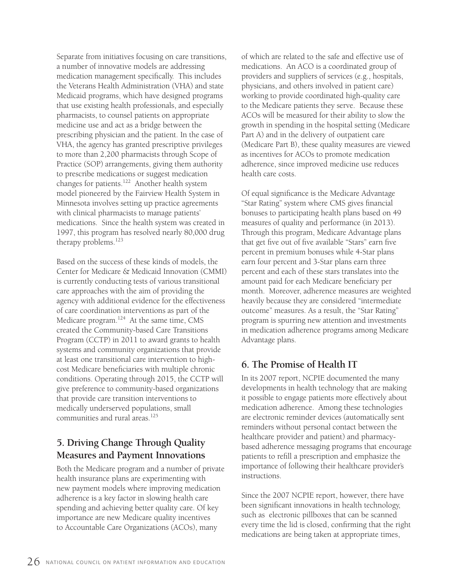Separate from initiatives focusing on care transitions, a number of innovative models are addressing medication management specifically. This includes the Veterans Health Administration (VHA) and state Medicaid programs, which have designed programs that use existing health professionals, and especially pharmacists, to counsel patients on appropriate medicine use and act as a bridge between the prescribing physician and the patient. In the case of VHA, the agency has granted prescriptive privileges to more than 2,200 pharmacists through Scope of Practice (SOP) arrangements, giving them authority to prescribe medications or suggest medication changes for patients.122 Another health system model pioneered by the Fairview Health System in Minnesota involves setting up practice agreements with clinical pharmacists to manage patients' medications. Since the health system was created in 1997, this program has resolved nearly 80,000 drug therapy problems.<sup>123</sup>

Based on the success of these kinds of models, the Center for Medicare & Medicaid Innovation (CMMI) is currently conducting tests of various transitional care approaches with the aim of providing the agency with additional evidence for the effectiveness of care coordination interventions as part of the Medicare program.<sup>124</sup> At the same time, CMS created the Community-based Care Transitions Program (CCTP) in 2011 to award grants to health systems and community organizations that provide at least one transitional care intervention to highcost Medicare beneficiaries with multiple chronic conditions. Operating through 2015, the CCTP will give preference to community-based organizations that provide care transition interventions to medically underserved populations, small communities and rural areas.<sup>125</sup>

#### **5. Driving Change Through Quality Measures and Payment Innovations**

Both the Medicare program and a number of private health insurance plans are experimenting with new payment models where improving medication adherence is a key factor in slowing health care spending and achieving better quality care. Of key importance are new Medicare quality incentives to Accountable Care Organizations (ACOs), many

of which are related to the safe and effective use of medications. An ACO is a coordinated group of providers and suppliers of services (e.g., hospitals, physicians, and others involved in patient care) working to provide coordinated high-quality care to the Medicare patients they serve. Because these ACOs will be measured for their ability to slow the growth in spending in the hospital setting (Medicare Part A) and in the delivery of outpatient care (Medicare Part B), these quality measures are viewed as incentives for ACOs to promote medication adherence, since improved medicine use reduces health care costs.

Of equal significance is the Medicare Advantage "Star Rating" system where CMS gives financial bonuses to participating health plans based on 49 measures of quality and performance (in 2013). Through this program, Medicare Advantage plans that get five out of five available "Stars" earn five percent in premium bonuses while 4-Star plans earn four percent and 3-Star plans earn three percent and each of these stars translates into the amount paid for each Medicare beneficiary per month. Moreover, adherence measures are weighted heavily because they are considered "intermediate outcome" measures. As a result, the "Star Rating" program is spurring new attention and investments in medication adherence programs among Medicare Advantage plans.

#### **6. The Promise of Health IT**

In its 2007 report, NCPIE documented the many developments in health technology that are making it possible to engage patients more effectively about medication adherence. Among these technologies are electronic reminder devices (automatically sent reminders without personal contact between the healthcare provider and patient) and pharmacybased adherence messaging programs that encourage patients to refill a prescription and emphasize the importance of following their healthcare provider's instructions.

Since the 2007 NCPIE report, however, there have been significant innovations in health technology, such as electronic pillboxes that can be scanned every time the lid is closed, confirming that the right medications are being taken at appropriate times,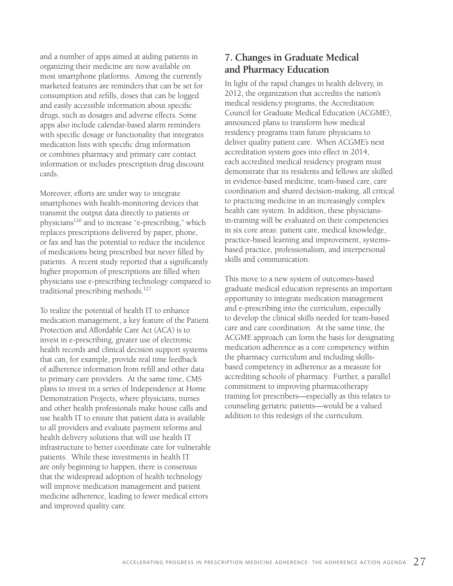and a number of apps aimed at aiding patients in organizing their medicine are now available on most smartphone platforms. Among the currently marketed features are reminders that can be set for consumption and refills, doses that can be logged and easily accessible information about specific drugs, such as dosages and adverse effects. Some apps also include calendar-based alarm reminders with specific dosage or functionality that integrates medication lists with specific drug information or combines pharmacy and primary care contact information or includes prescription drug discount cards.

Moreover, efforts are under way to integrate smartphones with health-monitoring devices that transmit the output data directly to patients or physicians126 and to increase "e-prescribing," which replaces prescriptions delivered by paper, phone, or fax and has the potential to reduce the incidence of medications being prescribed but never filled by patients. A recent study reported that a significantly higher proportion of prescriptions are filled when physicians use e-prescribing technology compared to traditional prescribing methods.127

To realize the potential of health IT to enhance medication management, a key feature of the Patient Protection and Affordable Care Act (ACA) is to invest in e-prescribing, greater use of electronic health records and clinical decision support systems that can, for example, provide real time feedback of adherence information from refill and other data to primary care providers. At the same time, CMS plans to invest in a series of Independence at Home Demonstration Projects, where physicians, nurses and other health professionals make house calls and use health IT to ensure that patient data is available to all providers and evaluate payment reforms and health delivery solutions that will use health IT infrastructure to better coordinate care for vulnerable patients. While these investments in health IT are only beginning to happen, there is consensus that the widespread adoption of health technology will improve medication management and patient medicine adherence, leading to fewer medical errors and improved quality care.

#### **7. Changes in Graduate Medical and Pharmacy Education**

In light of the rapid changes in health delivery, in 2012, the organization that accredits the nation's medical residency programs, the Accreditation Council for Graduate Medical Education (ACGME), announced plans to transform how medical residency programs train future physicians to deliver quality patient care. When ACGME's next accreditation system goes into effect in 2014, each accredited medical residency program must demonstrate that its residents and fellows are skilled in evidence-based medicine, team-based care, care coordination and shared decision-making, all critical to practicing medicine in an increasingly complex health care system. In addition, these physiciansin-training will be evaluated on their competencies in six core areas: patient care, medical knowledge, practice-based learning and improvement, systemsbased practice, professionalism, and interpersonal skills and communication.

This move to a new system of outcomes-based graduate medical education represents an important opportunity to integrate medication management and e-prescribing into the curriculum, especially to develop the clinical skills needed for team-based care and care coordination. At the same time, the ACGME approach can form the basis for designating medication adherence as a core competency within the pharmacy curriculum and including skillsbased competency in adherence as a measure for accrediting schools of pharmacy. Further, a parallel commitment to improving pharmacotherapy training for prescribers—especially as this relates to counseling geriatric patients—would be a valued addition to this redesign of the curriculum.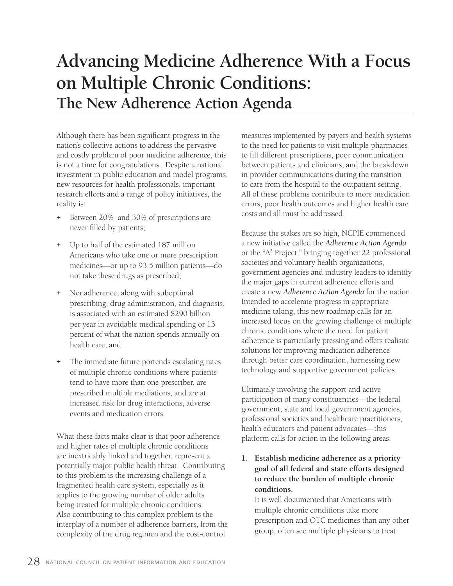# **Advancing Medicine Adherence With a Focus on Multiple Chronic Conditions: The New Adherence Action Agenda**

Although there has been significant progress in the nation's collective actions to address the pervasive and costly problem of poor medicine adherence, this is not a time for congratulations. Despite a national investment in public education and model programs, new resources for health professionals, important research efforts and a range of policy initiatives, the reality is:

- + Between 20% and 30% of prescriptions are never filled by patients;
- + Up to half of the estimated 187 million Americans who take one or more prescription medicines—or up to 93.5 million patients—do not take these drugs as prescribed;
- + Nonadherence, along with suboptimal prescribing, drug administration, and diagnosis, is associated with an estimated \$290 billion per year in avoidable medical spending or 13 percent of what the nation spends annually on health care; and
- + The immediate future portends escalating rates of multiple chronic conditions where patients tend to have more than one prescriber, are prescribed multiple mediations, and are at increased risk for drug interactions, adverse events and medication errors.

What these facts make clear is that poor adherence and higher rates of multiple chronic conditions are inextricably linked and together, represent a potentially major public health threat. Contributing to this problem is the increasing challenge of a fragmented health care system, especially as it applies to the growing number of older adults being treated for multiple chronic conditions. Also contributing to this complex problem is the interplay of a number of adherence barriers, from the complexity of the drug regimen and the cost-control

measures implemented by payers and health systems to the need for patients to visit multiple pharmacies to fill different prescriptions, poor communication between patients and clinicians, and the breakdown in provider communications during the transition to care from the hospital to the outpatient setting. All of these problems contribute to more medication errors, poor health outcomes and higher health care costs and all must be addressed.

Because the stakes are so high, NCPIE commenced a new initiative called the *Adherence Action Agenda* or the "A3 Project," bringing together 22 professional societies and voluntary health organizations, government agencies and industry leaders to identify the major gaps in current adherence efforts and create a new *Adherence Action Agenda* for the nation. Intended to accelerate progress in appropriate medicine taking, this new roadmap calls for an increased focus on the growing challenge of multiple chronic conditions where the need for patient adherence is particularly pressing and offers realistic solutions for improving medication adherence through better care coordination, harnessing new technology and supportive government policies.

Ultimately involving the support and active participation of many constituencies—the federal government, state and local government agencies, professional societies and healthcare practitioners, health educators and patient advocates—this platform calls for action in the following areas:

**1. Establish medicine adherence as a priority goal of all federal and state efforts designed to reduce the burden of multiple chronic conditions.**

It is well documented that Americans with multiple chronic conditions take more prescription and OTC medicines than any other group, often see multiple physicians to treat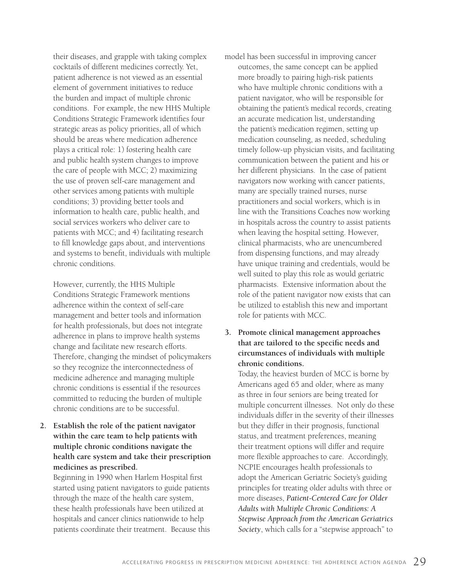their diseases, and grapple with taking complex cocktails of different medicines correctly. Yet, patient adherence is not viewed as an essential element of government initiatives to reduce the burden and impact of multiple chronic conditions. For example, the new HHS Multiple Conditions Strategic Framework identifies four strategic areas as policy priorities, all of which should be areas where medication adherence plays a critical role: 1) fostering health care and public health system changes to improve the care of people with MCC; 2) maximizing the use of proven self-care management and other services among patients with multiple conditions; 3) providing better tools and information to health care, public health, and social services workers who deliver care to patients with MCC; and 4) facilitating research to fill knowledge gaps about, and interventions and systems to benefit, individuals with multiple chronic conditions.

However, currently, the HHS Multiple Conditions Strategic Framework mentions adherence within the context of self-care management and better tools and information for health professionals, but does not integrate adherence in plans to improve health systems change and facilitate new research efforts. Therefore, changing the mindset of policymakers so they recognize the interconnectedness of medicine adherence and managing multiple chronic conditions is essential if the resources committed to reducing the burden of multiple chronic conditions are to be successful.

#### **2. Establish the role of the patient navigator within the care team to help patients with multiple chronic conditions navigate the health care system and take their prescription medicines as prescribed.**

Beginning in 1990 when Harlem Hospital first started using patient navigators to guide patients through the maze of the health care system, these health professionals have been utilized at hospitals and cancer clinics nationwide to help patients coordinate their treatment. Because this model has been successful in improving cancer outcomes, the same concept can be applied more broadly to pairing high-risk patients who have multiple chronic conditions with a patient navigator, who will be responsible for obtaining the patient's medical records, creating an accurate medication list, understanding the patient's medication regimen, setting up medication counseling, as needed, scheduling timely follow-up physician visits, and facilitating communication between the patient and his or her different physicians. In the case of patient navigators now working with cancer patients, many are specially trained nurses, nurse practitioners and social workers, which is in line with the Transitions Coaches now working in hospitals across the country to assist patients when leaving the hospital setting. However, clinical pharmacists, who are unencumbered from dispensing functions, and may already have unique training and credentials, would be well suited to play this role as would geriatric pharmacists. Extensive information about the role of the patient navigator now exists that can be utilized to establish this new and important role for patients with MCC.

#### **3. Promote clinical management approaches that are tailored to the specific needs and circumstances of individuals with multiple chronic conditions.**

Today, the heaviest burden of MCC is borne by Americans aged 65 and older, where as many as three in four seniors are being treated for multiple concurrent illnesses. Not only do these individuals differ in the severity of their illnesses but they differ in their prognosis, functional status, and treatment preferences, meaning their treatment options will differ and require more flexible approaches to care. Accordingly, NCPIE encourages health professionals to adopt the American Geriatric Society's guiding principles for treating older adults with three or more diseases, *Patient-Centered Care for Older Adults with Multiple Chronic Conditions: A Stepwise Approach from the American Geriatrics Society*, which calls for a "stepwise approach" to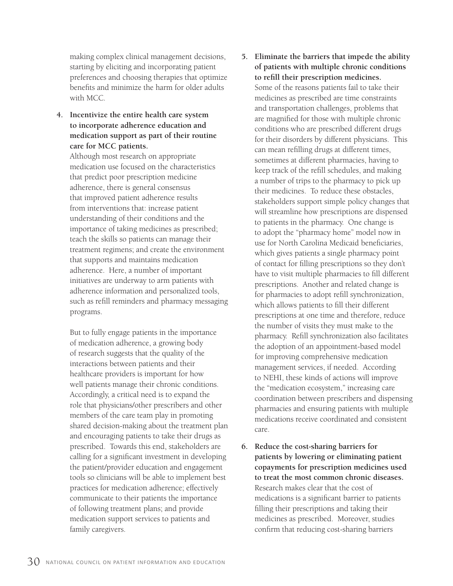making complex clinical management decisions, starting by eliciting and incorporating patient preferences and choosing therapies that optimize benefits and minimize the harm for older adults with MCC.

**4. Incentivize the entire health care system to incorporate adherence education and medication support as part of their routine care for MCC patients.**

Although most research on appropriate medication use focused on the characteristics that predict poor prescription medicine adherence, there is general consensus that improved patient adherence results from interventions that: increase patient understanding of their conditions and the importance of taking medicines as prescribed; teach the skills so patients can manage their treatment regimens; and create the environment that supports and maintains medication adherence. Here, a number of important initiatives are underway to arm patients with adherence information and personalized tools, such as refill reminders and pharmacy messaging programs.

But to fully engage patients in the importance of medication adherence, a growing body of research suggests that the quality of the interactions between patients and their healthcare providers is important for how well patients manage their chronic conditions. Accordingly, a critical need is to expand the role that physicians/other prescribers and other members of the care team play in promoting shared decision-making about the treatment plan and encouraging patients to take their drugs as prescribed. Towards this end, stakeholders are calling for a significant investment in developing the patient/provider education and engagement tools so clinicians will be able to implement best practices for medication adherence; effectively communicate to their patients the importance of following treatment plans; and provide medication support services to patients and family caregivers.

- **5. Eliminate the barriers that impede the ability of patients with multiple chronic conditions to refill their prescription medicines.** Some of the reasons patients fail to take their medicines as prescribed are time constraints and transportation challenges, problems that are magnified for those with multiple chronic conditions who are prescribed different drugs for their disorders by different physicians. This can mean refilling drugs at different times, sometimes at different pharmacies, having to keep track of the refill schedules, and making a number of trips to the pharmacy to pick up their medicines. To reduce these obstacles, stakeholders support simple policy changes that will streamline how prescriptions are dispensed to patients in the pharmacy. One change is to adopt the "pharmacy home" model now in use for North Carolina Medicaid beneficiaries, which gives patients a single pharmacy point of contact for filling prescriptions so they don't have to visit multiple pharmacies to fill different prescriptions. Another and related change is for pharmacies to adopt refill synchronization, which allows patients to fill their different prescriptions at one time and therefore, reduce the number of visits they must make to the pharmacy. Refill synchronization also facilitates the adoption of an appointment-based model for improving comprehensive medication management services, if needed. According to NEHI, these kinds of actions will improve the "medication ecosystem," increasing care coordination between prescribers and dispensing pharmacies and ensuring patients with multiple medications receive coordinated and consistent care.
- **6. Reduce the cost-sharing barriers for patients by lowering or eliminating patient copayments for prescription medicines used to treat the most common chronic diseases.** Research makes clear that the cost of medications is a significant barrier to patients filling their prescriptions and taking their medicines as prescribed. Moreover, studies confirm that reducing cost-sharing barriers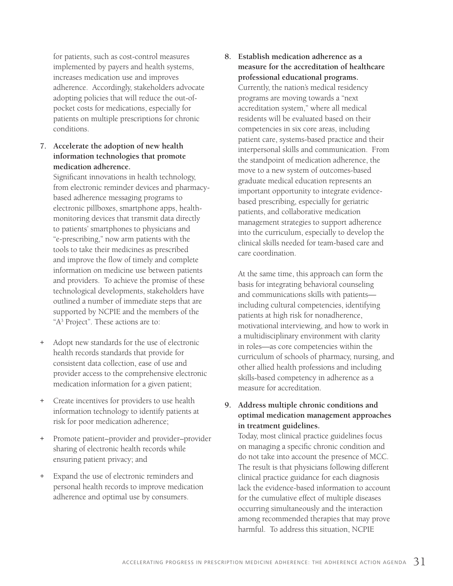for patients, such as cost-control measures implemented by payers and health systems, increases medication use and improves adherence. Accordingly, stakeholders advocate adopting policies that will reduce the out-ofpocket costs for medications, especially for patients on multiple prescriptions for chronic conditions.

**7. Accelerate the adoption of new health information technologies that promote medication adherence.**

Significant innovations in health technology, from electronic reminder devices and pharmacybased adherence messaging programs to electronic pillboxes, smartphone apps, healthmonitoring devices that transmit data directly to patients' smartphones to physicians and "e-prescribing," now arm patients with the tools to take their medicines as prescribed and improve the flow of timely and complete information on medicine use between patients and providers. To achieve the promise of these technological developments, stakeholders have outlined a number of immediate steps that are supported by NCPIE and the members of the "A<sup>3</sup> Project". These actions are to:

- + Adopt new standards for the use of electronic health records standards that provide for consistent data collection, ease of use and provider access to the comprehensive electronic medication information for a given patient;
- + Create incentives for providers to use health information technology to identify patients at risk for poor medication adherence;
- + Promote patient–provider and provider–provider sharing of electronic health records while ensuring patient privacy; and
- Expand the use of electronic reminders and personal health records to improve medication adherence and optimal use by consumers.

**8. Establish medication adherence as a measure for the accreditation of healthcare professional educational programs.**  Currently, the nation's medical residency programs are moving towards a "next accreditation system," where all medical residents will be evaluated based on their competencies in six core areas, including patient care, systems-based practice and their interpersonal skills and communication. From the standpoint of medication adherence, the move to a new system of outcomes-based graduate medical education represents an important opportunity to integrate evidencebased prescribing, especially for geriatric patients, and collaborative medication management strategies to support adherence into the curriculum, especially to develop the clinical skills needed for team-based care and care coordination.

At the same time, this approach can form the basis for integrating behavioral counseling and communications skills with patients including cultural competencies, identifying patients at high risk for nonadherence, motivational interviewing, and how to work in a multidisciplinary environment with clarity in roles—as core competencies within the curriculum of schools of pharmacy, nursing, and other allied health professions and including skills-based competency in adherence as a measure for accreditation.

#### **9. Address multiple chronic conditions and optimal medication management approaches in treatment guidelines.**

Today, most clinical practice guidelines focus on managing a specific chronic condition and do not take into account the presence of MCC. The result is that physicians following different clinical practice guidance for each diagnosis lack the evidence-based information to account for the cumulative effect of multiple diseases occurring simultaneously and the interaction among recommended therapies that may prove harmful. To address this situation, NCPIE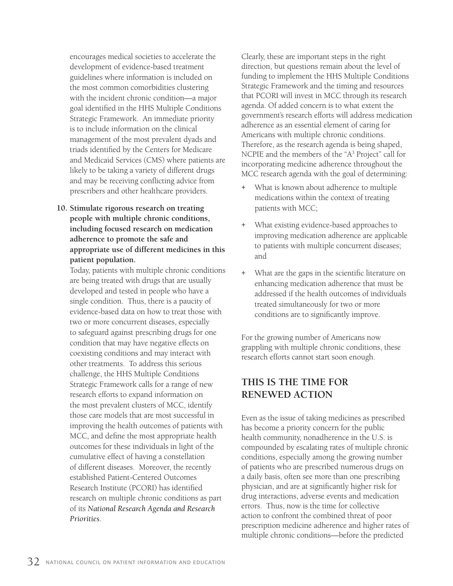encourages medical societies to accelerate the development of evidence-based treatment guidelines where information is included on the most common comorbidities clustering with the incident chronic condition—a major goal identified in the HHS Multiple Conditions Strategic Framework. An immediate priority is to include information on the clinical management of the most prevalent dyads and triads identified by the Centers for Medicare and Medicaid Services (CMS) where patients are likely to be taking a variety of different drugs and may be receiving conflicting advice from prescribers and other healthcare providers.

**10. Stimulate rigorous research on treating people with multiple chronic conditions, including focused research on medication adherence to promote the safe and appropriate use of different medicines in this patient population.** 

Today, patients with multiple chronic conditions are being treated with drugs that are usually developed and tested in people who have a single condition. Thus, there is a paucity of evidence-based data on how to treat those with two or more concurrent diseases, especially to safeguard against prescribing drugs for one condition that may have negative effects on coexisting conditions and may interact with other treatments. To address this serious challenge, the HHS Multiple Conditions Strategic Framework calls for a range of new research efforts to expand information on the most prevalent clusters of MCC, identify those care models that are most successful in improving the health outcomes of patients with MCC, and define the most appropriate health outcomes for these individuals in light of the cumulative effect of having a constellation of different diseases. Moreover, the recently established Patient-Centered Outcomes Research Institute (PCORI) has identified research on multiple chronic conditions as part of its *National Research Agenda and Research Priorities*.

Clearly, these are important steps in the right direction, but questions remain about the level of funding to implement the HHS Multiple Conditions Strategic Framework and the timing and resources that PCORI will invest in MCC through its research agenda. Of added concern is to what extent the government's research efforts will address medication adherence as an essential element of caring for Americans with multiple chronic conditions. Therefore, as the research agenda is being shaped, NCPIE and the members of the "A<sup>3</sup> Project" call for incorporating medicine adherence throughout the MCC research agenda with the goal of determining:

- What is known about adherence to multiple medications within the context of treating patients with MCC;
- What existing evidence-based approaches to improving medication adherence are applicable to patients with multiple concurrent diseases; and
- What are the gaps in the scientific literature on enhancing medication adherence that must be addressed if the health outcomes of individuals treated simultaneously for two or more conditions are to significantly improve.

For the growing number of Americans now grappling with multiple chronic conditions, these research efforts cannot start soon enough.

### **THIS IS THE TIME FOR RENEWED ACTION**

Even as the issue of taking medicines as prescribed has become a priority concern for the public health community, nonadherence in the U.S. is compounded by escalating rates of multiple chronic conditions, especially among the growing number of patients who are prescribed numerous drugs on a daily basis, often see more than one prescribing physician, and are at significantly higher risk for drug interactions, adverse events and medication errors. Thus, now is the time for collective action to confront the combined threat of poor prescription medicine adherence and higher rates of multiple chronic conditions—before the predicted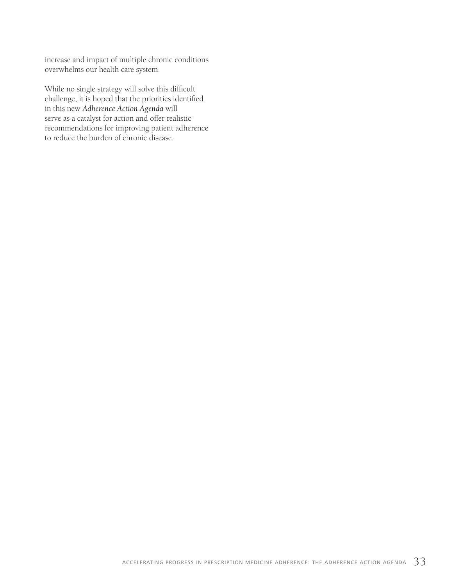increase and impact of multiple chronic conditions overwhelms our health care system.

While no single strategy will solve this difficult challenge, it is hoped that the priorities identified in this new *Adherence Action Agenda* will serve as a catalyst for action and offer realistic recommendations for improving patient adherence to reduce the burden of chronic disease.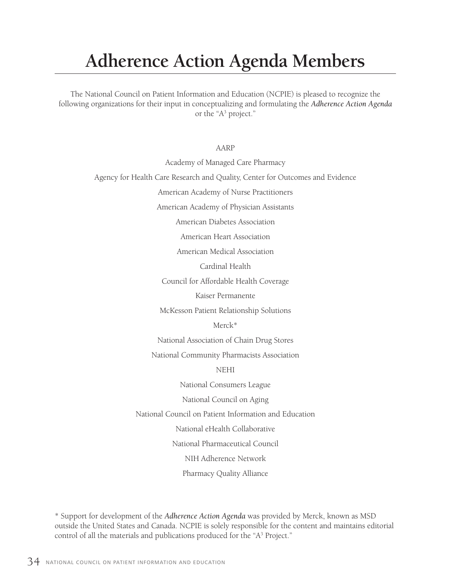# **Adherence Action Agenda Members**

The National Council on Patient Information and Education (NCPIE) is pleased to recognize the following organizations for their input in conceptualizing and formulating the *Adherence Action Agenda* or the "A3 project."

AARP

Academy of Managed Care Pharmacy Agency for Health Care Research and Quality, Center for Outcomes and Evidence American Academy of Nurse Practitioners American Academy of Physician Assistants American Diabetes Association American Heart Association American Medical Association Cardinal Health Council for Affordable Health Coverage Kaiser Permanente McKesson Patient Relationship Solutions Merck\* National Association of Chain Drug Stores National Community Pharmacists Association NEHI National Consumers League National Council on Aging National Council on Patient Information and Education National eHealth Collaborative National Pharmaceutical Council NIH Adherence Network Pharmacy Quality Alliance

\* Support for development of the *Adherence Action Agenda* was provided by Merck, known as MSD outside the United States and Canada. NCPIE is solely responsible for the content and maintains editorial control of all the materials and publications produced for the "A<sup>3</sup> Project."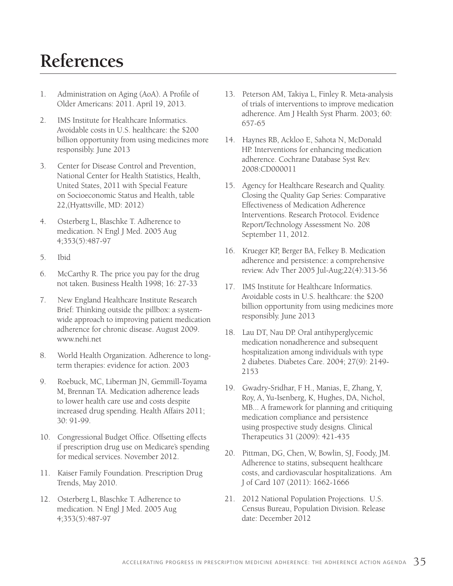# **References**

- 1. Administration on Aging (AoA). A Profile of Older Americans: 2011. April 19, 2013.
- 2. IMS Institute for Healthcare Informatics. Avoidable costs in U.S. healthcare: the \$200 billion opportunity from using medicines more responsibly. June 2013
- 3. Center for Disease Control and Prevention, National Center for Health Statistics, Health, United States, 2011 with Special Feature on Socioeconomic Status and Health, table 22,(Hyattsville, MD: 2012)
- 4. Osterberg L, Blaschke T. Adherence to medication. N Engl J Med. 2005 Aug 4;353(5):487-97
- 5. Ibid
- 6. McCarthy R. The price you pay for the drug not taken. Business Health 1998; 16: 27-33
- 7. New England Healthcare Institute Research Brief: Thinking outside the pillbox: a systemwide approach to improving patient medication adherence for chronic disease. August 2009. www.nehi.net
- 8. World Health Organization. Adherence to longterm therapies: evidence for action. 2003
- 9. Roebuck, MC, Liberman JN, Gemmill-Toyama M, Brennan TA. Medication adherence leads to lower health care use and costs despite increased drug spending. Health Affairs 2011; 30: 91-99.
- 10. Congressional Budget Office. Offsetting effects if prescription drug use on Medicare's spending for medical services. November 2012.
- 11. Kaiser Family Foundation. Prescription Drug Trends, May 2010.
- 12. Osterberg L, Blaschke T. Adherence to medication. N Engl J Med. 2005 Aug 4;353(5):487-97
- 13. Peterson AM, Takiya L, Finley R. Meta-analysis of trials of interventions to improve medication adherence. Am J Health Syst Pharm. 2003; 60: 657-65
- 14. Haynes RB, Ackloo E, Sahota N, McDonald HP. Interventions for enhancing medication adherence. Cochrane Database Syst Rev. 2008:CD000011
- 15. Agency for Healthcare Research and Quality. Closing the Quality Gap Series: Comparative Effectiveness of Medication Adherence Interventions. Research Protocol. Evidence Report/Technology Assessment No. 208 September 11, 2012.
- 16. Krueger KP, Berger BA, Felkey B. Medication adherence and persistence: a comprehensive review. Adv Ther 2005 Jul-Aug;22(4):313-56
- 17. IMS Institute for Healthcare Informatics. Avoidable costs in U.S. healthcare: the \$200 billion opportunity from using medicines more responsibly. June 2013
- 18. Lau DT, Nau DP. Oral antihyperglycemic medication nonadherence and subsequent hospitalization among individuals with type 2 diabetes. Diabetes Care. 2004; 27(9): 2149- 2153
- 19. Gwadry-Sridhar, F H., Manias, E, Zhang, Y, Roy, A, Yu-Isenberg, K, Hughes, DA, Nichol, MB... A framework for planning and critiquing medication compliance and persistence using prospective study designs. Clinical Therapeutics 31 (2009): 421-435
- 20. Pittman, DG, Chen, W, Bowlin, SJ, Foody, JM. Adherence to statins, subsequent healthcare costs, and cardiovascular hospitalizations. Am J of Card 107 (2011): 1662-1666
- 21. 2012 National Population Projections. U.S. Census Bureau, Population Division. Release date: December 2012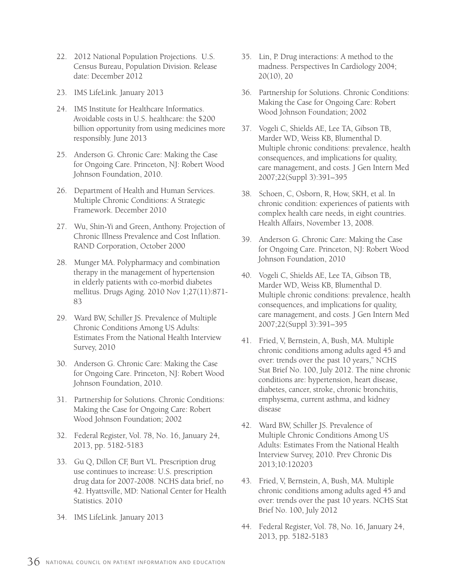- 22. 2012 National Population Projections. U.S. Census Bureau, Population Division. Release date: December 2012
- 23. IMS LifeLink. January 2013
- 24. IMS Institute for Healthcare Informatics. Avoidable costs in U.S. healthcare: the \$200 billion opportunity from using medicines more responsibly. June 2013
- 25. Anderson G. Chronic Care: Making the Case for Ongoing Care. Princeton, NJ: Robert Wood Johnson Foundation, 2010.
- 26. Department of Health and Human Services. Multiple Chronic Conditions: A Strategic Framework. December 2010
- 27. Wu, Shin-Yi and Green, Anthony. Projection of Chronic Illness Prevalence and Cost Inflation. RAND Corporation, October 2000
- 28. Munger MA. Polypharmacy and combination therapy in the management of hypertension in elderly patients with co-morbid diabetes mellitus. Drugs Aging. 2010 Nov 1;27(11):871- 83
- 29. Ward BW, Schiller JS. Prevalence of Multiple Chronic Conditions Among US Adults: Estimates From the National Health Interview Survey, 2010
- 30. Anderson G. Chronic Care: Making the Case for Ongoing Care. Princeton, NJ: Robert Wood Johnson Foundation, 2010.
- 31. Partnership for Solutions. Chronic Conditions: Making the Case for Ongoing Care: Robert Wood Johnson Foundation; 2002
- 32. Federal Register, Vol. 78, No. 16, January 24, 2013, pp. 5182-5183
- 33. Gu Q, Dillon CF, Burt VL. Prescription drug use continues to increase: U.S. prescription drug data for 2007-2008. NCHS data brief, no 42. Hyattsville, MD: National Center for Health Statistics. 2010
- 34. IMS LifeLink. January 2013
- 35. Lin, P. Drug interactions: A method to the madness. Perspectives In Cardiology 2004; 20(10), 20
- 36. Partnership for Solutions. Chronic Conditions: Making the Case for Ongoing Care: Robert Wood Johnson Foundation; 2002
- 37. Vogeli C, Shields AE, Lee TA, Gibson TB, Marder WD, Weiss KB, Blumenthal D. Multiple chronic conditions: prevalence, health consequences, and implications for quality, care management, and costs. J Gen Intern Med 2007;22(Suppl 3):391–395
- 38. Schoen, C, Osborn, R, How, SKH, et al. In chronic condition: experiences of patients with complex health care needs, in eight countries. Health Affairs, November 13, 2008.
- 39. Anderson G. Chronic Care: Making the Case for Ongoing Care. Princeton, NJ: Robert Wood Johnson Foundation, 2010
- 40. Vogeli C, Shields AE, Lee TA, Gibson TB, Marder WD, Weiss KB, Blumenthal D. Multiple chronic conditions: prevalence, health consequences, and implications for quality, care management, and costs. J Gen Intern Med 2007;22(Suppl 3):391–395
- 41. Fried, V, Bernstein, A, Bush, MA. Multiple chronic conditions among adults aged 45 and over: trends over the past 10 years," NCHS Stat Brief No. 100, July 2012. The nine chronic conditions are: hypertension, heart disease, diabetes, cancer, stroke, chronic bronchitis, emphysema, current asthma, and kidney disease
- 42. Ward BW, Schiller JS. Prevalence of Multiple Chronic Conditions Among US Adults: Estimates From the National Health Interview Survey, 2010. Prev Chronic Dis 2013;10:120203
- 43. Fried, V, Bernstein, A, Bush, MA. Multiple chronic conditions among adults aged 45 and over: trends over the past 10 years. NCHS Stat Brief No. 100, July 2012
- 44. Federal Register, Vol. 78, No. 16, January 24, 2013, pp. 5182-5183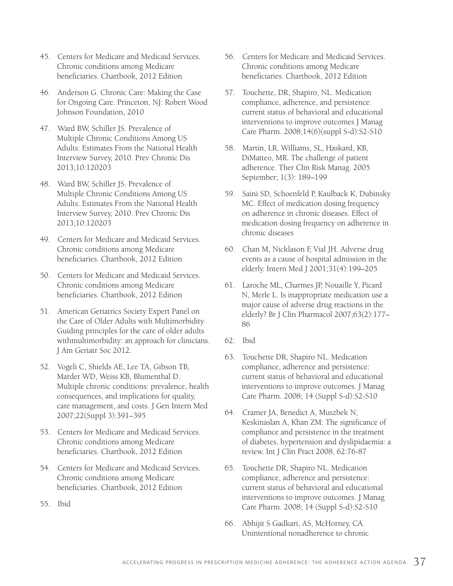- 45. Centers for Medicare and Medicaid Services. Chronic conditions among Medicare beneficiaries. Chartbook, 2012 Edition
- 46. Anderson G. Chronic Care: Making the Case for Ongoing Care. Princeton, NJ: Robert Wood Johnson Foundation, 2010
- 47. Ward BW, Schiller JS. Prevalence of Multiple Chronic Conditions Among US Adults: Estimates From the National Health Interview Survey, 2010. Prev Chronic Dis 2013;10:120203
- 48. Ward BW, Schiller JS. Prevalence of Multiple Chronic Conditions Among US Adults: Estimates From the National Health Interview Survey, 2010. Prev Chronic Dis 2013;10:120203
- 49. Centers for Medicare and Medicaid Services. Chronic conditions among Medicare beneficiaries. Chartbook, 2012 Edition
- 50. Centers for Medicare and Medicaid Services. Chronic conditions among Medicare beneficiaries. Chartbook, 2012 Edition
- 51. American Geriatrics Society Expert Panel on the Care of Older Adults with Multimorbidity. Guiding principles for the care of older adults withmultimorbidity: an approach for clinicians. J Am Geriatr Soc 2012.
- 52. Vogeli C, Shields AE, Lee TA, Gibson TB, Marder WD, Weiss KB, Blumenthal D. Multiple chronic conditions: prevalence, health consequences, and implications for quality, care management, and costs. J Gen Intern Med 2007;22(Suppl 3):391–395
- 53. Centers for Medicare and Medicaid Services. Chronic conditions among Medicare beneficiaries. Chartbook, 2012 Edition
- 54. Centers for Medicare and Medicaid Services. Chronic conditions among Medicare beneficiaries. Chartbook, 2012 Edition
- 55. Ibid
- 56. Centers for Medicare and Medicaid Services. Chronic conditions among Medicare beneficiaries. Chartbook, 2012 Edition
- 57. Touchette, DR, Shapiro, NL. Medication compliance, adherence, and persistence: current status of behavioral and educational interventions to improve outcomes J Manag Care Pharm. 2008;14(6)(suppl S-d):S2-S10
- 58. Martin, LR, Williams, SL, Haskard, KB, DiMatteo, MR. The challenge of patient adherence. Ther Clin Risk Manag. 2005 September; 1(3): 189–199
- 59. Saini SD, Schoenfeld P, Kaulback K, Dubinsky MC. Effect of medication dosing frequency on adherence in chronic diseases. Effect of medication dosing frequency on adherence in chronic diseases
- 60. Chan M, Nicklason F, Vial JH. Adverse drug events as a cause of hospital admission in the elderly. Intern Med J 2001;31(4):199–205
- 61. Laroche ML, Charmes JP, Nouaille Y, Picard N, Merle L. Is inappropriate medication use a major cause of adverse drug reactions in the elderly? Br J Clin Pharmacol 2007;63(2):177– 86
- 62. Ibid
- 63. Touchette DR, Shapiro NL. Medication compliance, adherence and persistence: current status of behavioral and educational interventions to improve outcomes. J Manag Care Pharm. 2008; 14 (Suppl S-d):S2-S10
- 64. Cramer JA, Benedict A, Muszbek N, Keskinaslan A, Khan ZM: The significance of compliance and persistence in the treatment of diabetes, hypertension and dyslipidaemia: a review. Int J Clin Pract 2008, 62:76-87
- 65. Touchette DR, Shapiro NL. Medication compliance, adherence and persistence: current status of behavioral and educational interventions to improve outcomes. J Manag Care Pharm. 2008; 14 (Suppl S-d):S2-S10
- 66. Abhijit S Gadkari, AS, McHorney, CA. Unintentional nonadherence to chronic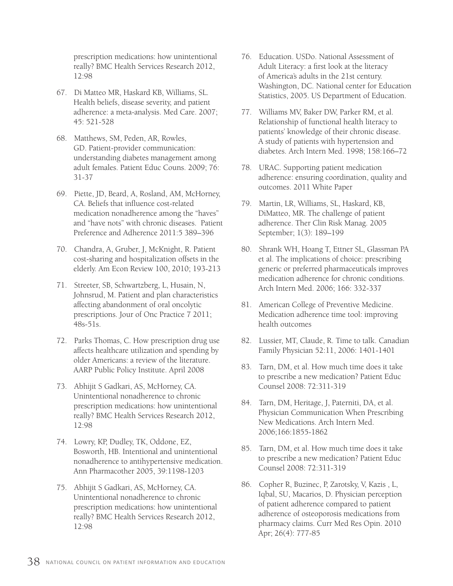prescription medications: how unintentional really? BMC Health Services Research 2012, 12:98

- 67. Di Matteo MR, Haskard KB, Williams, SL. Health beliefs, disease severity, and patient adherence: a meta-analysis. Med Care. 2007; 45: 521-528
- 68. Matthews, SM, Peden, AR, Rowles, GD. Patient-provider communication: understanding diabetes management among adult females. Patient Educ Couns. 2009; 76: 31-37
- 69. Piette, JD, Beard, A, Rosland, AM, McHorney, CA. Beliefs that influence cost-related medication nonadherence among the "haves" and "have nots" with chronic diseases. Patient Preference and Adherence 2011:5 389–396
- 70. Chandra, A, Gruber, J, McKnight, R. Patient cost-sharing and hospitalization offsets in the elderly. Am Econ Review 100, 2010; 193-213
- 71. Streeter, SB, Schwartzberg, L, Husain, N, Johnsrud, M. Patient and plan characteristics affecting abandonment of oral oncolytic prescriptions. Jour of Onc Practice 7 2011; 48s-51s.
- 72. Parks Thomas, C. How prescription drug use affects healthcare utilization and spending by older Americans: a review of the literature. AARP Public Policy Institute. April 2008
- 73. Abhijit S Gadkari, AS, McHorney, CA. Unintentional nonadherence to chronic prescription medications: how unintentional really? BMC Health Services Research 2012, 12:98
- 74. Lowry, KP, Dudley, TK, Oddone, EZ, Bosworth, HB. Intentional and unintentional nonadherence to antihypertensive medication. Ann Pharmacother 2005, 39:1198-1203
- 75. Abhijit S Gadkari, AS, McHorney, CA. Unintentional nonadherence to chronic prescription medications: how unintentional really? BMC Health Services Research 2012, 12:98
- 76. Education. USDo. National Assessment of Adult Literacy: a first look at the literacy of America's adults in the 21st century. Washington, DC. National center for Education Statistics, 2005. US Department of Education.
- 77. Williams MV, Baker DW, Parker RM, et al. Relationship of functional health literacy to patients' knowledge of their chronic disease. A study of patients with hypertension and diabetes. Arch Intern Med. 1998; 158:166–72
- 78. URAC. Supporting patient medication adherence: ensuring coordination, quality and outcomes. 2011 White Paper
- 79. Martin, LR, Williams, SL, Haskard, KB, DiMatteo, MR. The challenge of patient adherence. Ther Clin Risk Manag. 2005 September; 1(3): 189–199
- 80. Shrank WH, Hoang T, Ettner SL, Glassman PA et al. The implications of choice: prescribing generic or preferred pharmaceuticals improves medication adherence for chronic conditions. Arch Intern Med. 2006; 166: 332-337
- 81. American College of Preventive Medicine. Medication adherence time tool: improving health outcomes
- 82. Lussier, MT, Claude, R. Time to talk. Canadian Family Physician 52:11, 2006: 1401-1401
- 83. Tarn, DM, et al. How much time does it take to prescribe a new medication? Patient Educ Counsel 2008: 72:311-319
- 84. Tarn, DM, Heritage, J, Paterniti, DA, et al. Physician Communication When Prescribing New Medications. Arch Intern Med. 2006;166:1855-1862
- 85. Tarn, DM, et al. How much time does it take to prescribe a new medication? Patient Educ Counsel 2008: 72:311-319
- 86. Copher R, Buzinec, P, Zarotsky, V, Kazis , L, Iqbal, SU, Macarios, D. Physician perception of patient adherence compared to patient adherence of osteoporosis medications from pharmacy claims. Curr Med Res Opin. 2010 Apr; 26(4): 777-85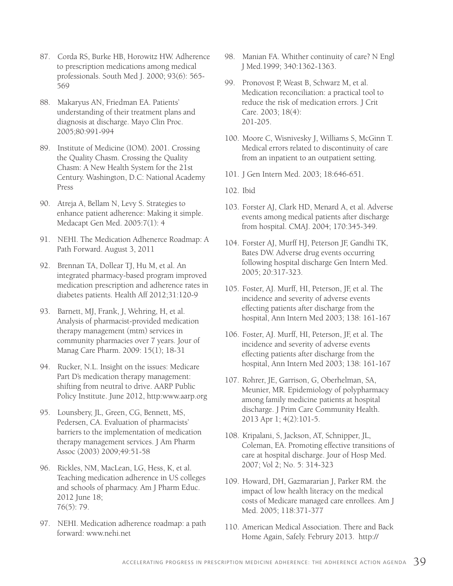- 87. Corda RS, Burke HB, Horowitz HW. Adherence to prescription medications among medical professionals. South Med J. 2000; 93(6): 565- 569
- 88. Makaryus AN, Friedman EA. Patients' understanding of their treatment plans and diagnosis at discharge. Mayo Clin Proc. 2005;80:991-994
- 89. Institute of Medicine (IOM). 2001. Crossing the Quality Chasm. Crossing the Quality Chasm: A New Health System for the 21st Century. Washington, D.C: National Academy Press
- 90. Atreja A, Bellam N, Levy S. Strategies to enhance patient adherence: Making it simple. Medacapt Gen Med. 2005:7(1): 4
- 91. NEHI. The Medication Adhenerce Roadmap: A Path Forward. August 3, 2011
- 92. Brennan TA, Dollear TJ, Hu M, et al. An integrated pharmacy-based program improved medication prescription and adherence rates in diabetes patients. Health Aff 2012;31:120-9
- 93. Barnett, MJ, Frank, J, Wehring, H, et al. Analysis of pharmacist-provided medication therapy management (mtm) services in community pharmacies over 7 years. Jour of Manag Care Pharm. 2009: 15(1); 18-31
- 94. Rucker, N.L. Insight on the issues: Medicare Part D's medication therapy management: shifting from neutral to drive. AARP Public Policy Institute. June 2012, http:www.aarp.org
- 95. Lounsbery, JL, Green, CG, Bennett, MS, Pedersen, CA. Evaluation of pharmacists' barriers to the implementation of medication therapy management services. J Am Pharm Assoc (2003) 2009;49:51-58
- 96. Rickles, NM, MacLean, LG, Hess, K, et al. Teaching medication adherence in US colleges and schools of pharmacy. Am J Pharm Educ. 2012 June 18; 76(5): 79.
- 97. NEHI. Medication adherence roadmap: a path forward: www.nehi.net
- 98. Manian FA. Whither continuity of care? N Engl J Med.1999; 340:1362-1363.
- 99. Pronovost P, Weast B, Schwarz M, et al. Medication reconciliation: a practical tool to reduce the risk of medication errors. J Crit Care. 2003; 18(4): 201-205.
- 100. Moore C, Wisnivesky J, Williams S, McGinn T. Medical errors related to discontinuity of care from an inpatient to an outpatient setting.
- 101. J Gen Intern Med. 2003; 18:646-651.
- 102. Ibid
- 103. Forster AJ, Clark HD, Menard A, et al. Adverse events among medical patients after discharge from hospital. CMAJ. 2004; 170:345-349.
- 104. Forster AJ, Murff HJ, Peterson JF, Gandhi TK, Bates DW. Adverse drug events occurring following hospital discharge Gen Intern Med. 2005; 20:317-323.
- 105. Foster, AJ. Murff, HI, Peterson, JF, et al. The incidence and severity of adverse events effecting patients after discharge from the hospital, Ann Intern Med 2003; 138: 161-167
- 106. Foster, AJ. Murff, HI, Peterson, JF, et al. The incidence and severity of adverse events effecting patients after discharge from the hospital, Ann Intern Med 2003; 138: 161-167
- 107. Rohrer, JE, Garrison, G, Oberhelman, SA, Meunier, MR. Epidemiology of polypharmacy among family medicine patients at hospital discharge. J Prim Care Community Health. 2013 Apr 1; 4(2):101-5.
- 108. Kripalani, S, Jackson, AT, Schnipper, JL, Coleman, EA. Promoting effective transitions of care at hospital discharge. Jour of Hosp Med. 2007; Vol 2; No. 5: 314-323
- 109. Howard, DH, Gazmararian J, Parker RM. the impact of low health literacy on the medical costs of Medicare managed care enrollees. Am J Med. 2005; 118:371-377
- 110. American Medical Association. There and Back Home Again, Safely. Februry 2013. http://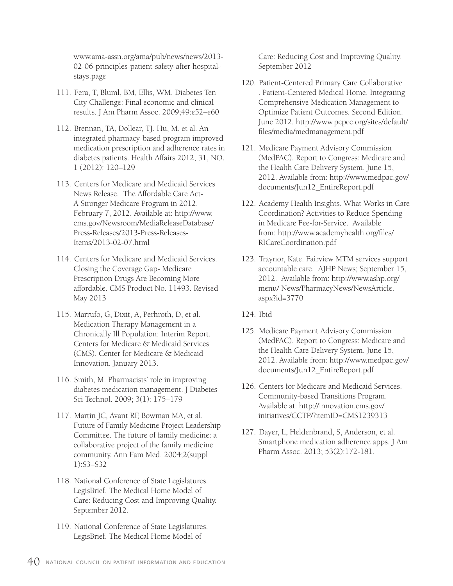www.ama-assn.org/ama/pub/news/news/2013- 02-06-principles-patient-safety-after-hospitalstays.page

- 111. Fera, T, Bluml, BM, Ellis, WM. Diabetes Ten City Challenge: Final economic and clinical results. J Am Pharm Assoc. 2009;49:e52–e60
- 112. Brennan, TA, Dollear, TJ. Hu, M, et al. An integrated pharmacy-based program improved medication prescription and adherence rates in diabetes patients. Health Affairs 2012; 31, NO. 1 (2012): 120–129
- 113. Centers for Medicare and Medicaid Services News Release. The Affordable Care Act-A Stronger Medicare Program in 2012. February 7, 2012. Available at: http://www. cms.gov/Newsroom/MediaReleaseDatabase/ Press-Releases/2013-Press-Releases-Items/2013-02-07.html
- 114. Centers for Medicare and Medicaid Services. Closing the Coverage Gap- Medicare Prescription Drugs Are Becoming More affordable. CMS Product No. 11493. Revised May 2013
- 115. Marrufo, G, Dixit, A, Perhroth, D, et al. Medication Therapy Management in a Chronically Ill Population: Interim Report. Centers for Medicare & Medicaid Services (CMS). Center for Medicare & Medicaid Innovation. January 2013.
- 116. Smith, M. Pharmacists' role in improving diabetes medication management. J Diabetes Sci Technol. 2009; 3(1): 175–179
- 117. Martin JC, Avant RF, Bowman MA, et al. Future of Family Medicine Project Leadership Committee. The future of family medicine: a collaborative project of the family medicine community. Ann Fam Med. 2004;2(suppl 1):S3–S32
- 118. National Conference of State Legislatures. LegisBrief. The Medical Home Model of Care: Reducing Cost and Improving Quality. September 2012.
- 119. National Conference of State Legislatures. LegisBrief. The Medical Home Model of

Care: Reducing Cost and Improving Quality. September 2012

- 120. Patient-Centered Primary Care Collaborative . Patient-Centered Medical Home. Integrating Comprehensive Medication Management to Optimize Patient Outcomes. Second Edition. June 2012. http://www.pcpcc.org/sites/default/ files/media/medmanagement.pdf
- 121. Medicare Payment Advisory Commission (MedPAC). Report to Congress: Medicare and the Health Care Delivery System. June 15, 2012. Available from: http://www.medpac.gov/ documents/Jun12\_EntireReport.pdf
- 122. Academy Health Insights. What Works in Care Coordination? Activities to Reduce Spending in Medicare Fee-for-Service. Available from: http://www.academyhealth.org/files/ RICareCoordination.pdf
- 123. Traynor, Kate. Fairview MTM services support accountable care. AJHP News; September 15, 2012. Available from: http://www.ashp.org/ menu/ News/PharmacyNews/NewsArticle. aspx?id=3770
- 124. Ibid
- 125. Medicare Payment Advisory Commission (MedPAC). Report to Congress: Medicare and the Health Care Delivery System. June 15, 2012. Available from: http://www.medpac.gov/ documents/Jun12\_EntireReport.pdf
- 126. Centers for Medicare and Medicaid Services. Community-based Transitions Program. Available at: http://innovation.cms.gov/ initiatives/CCTP/?itemID=CMS1239313
- 127. Dayer, L, Heldenbrand, S, Anderson, et al. Smartphone medication adherence apps. J Am Pharm Assoc. 2013; 53(2):172-181.